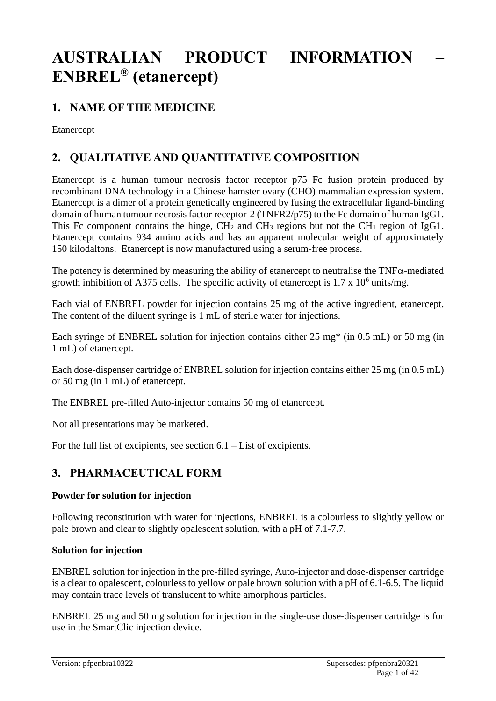# **AUSTRALIAN PRODUCT INFORMATION – ENBREL® (etanercept)**

# **1. NAME OF THE MEDICINE**

Etanercept

# **2. QUALITATIVE AND QUANTITATIVE COMPOSITION**

Etanercept is a human tumour necrosis factor receptor p75 Fc fusion protein produced by recombinant DNA technology in a Chinese hamster ovary (CHO) mammalian expression system. Etanercept is a dimer of a protein genetically engineered by fusing the extracellular ligand-binding domain of human tumour necrosis factor receptor-2 (TNFR2/p75) to the Fc domain of human IgG1. This Fc component contains the hinge,  $CH_2$  and  $CH_3$  regions but not the CH<sub>1</sub> region of IgG1. Etanercept contains 934 amino acids and has an apparent molecular weight of approximately 150 kilodaltons. Etanercept is now manufactured using a serum-free process.

The potency is determined by measuring the ability of etanercept to neutralise the  $TNF\alpha$ -mediated growth inhibition of A375 cells. The specific activity of etanercept is  $1.7 \times 10^6$  units/mg.

Each vial of ENBREL powder for injection contains 25 mg of the active ingredient, etanercept. The content of the diluent syringe is 1 mL of sterile water for injections.

Each syringe of ENBREL solution for injection contains either 25 mg\* (in 0.5 mL) or 50 mg (in 1 mL) of etanercept.

Each dose-dispenser cartridge of ENBREL solution for injection contains either 25 mg (in 0.5 mL) or 50 mg (in 1 mL) of etanercept.

The ENBREL pre-filled Auto-injector contains 50 mg of etanercept.

Not all presentations may be marketed.

For the full list of excipients, see section  $6.1 -$ List of excipients.

# **3. PHARMACEUTICAL FORM**

## **Powder for solution for injection**

Following reconstitution with water for injections, ENBREL is a colourless to slightly yellow or pale brown and clear to slightly opalescent solution, with a pH of 7.1-7.7.

#### **Solution for injection**

ENBREL solution for injection in the pre-filled syringe, Auto-injector and dose-dispenser cartridge is a clear to opalescent, colourless to yellow or pale brown solution with a pH of 6.1-6.5. The liquid may contain trace levels of translucent to white amorphous particles.

ENBREL 25 mg and 50 mg solution for injection in the single-use dose-dispenser cartridge is for use in the SmartClic injection device.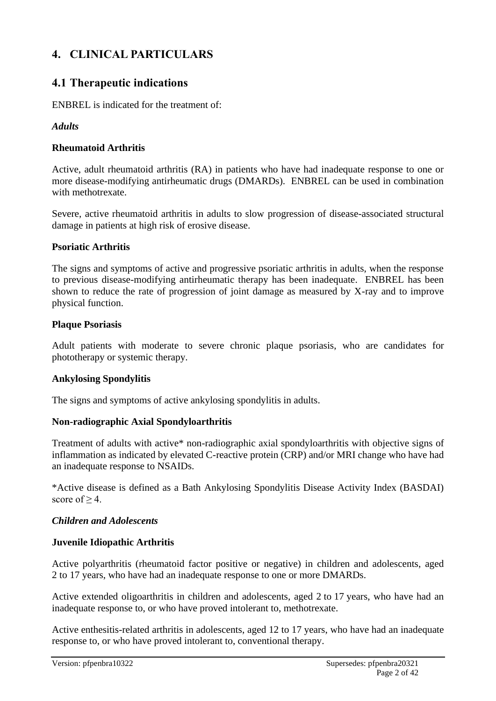# **4. CLINICAL PARTICULARS**

# **4.1 Therapeutic indications**

ENBREL is indicated for the treatment of:

## *Adults*

## **Rheumatoid Arthritis**

Active, adult rheumatoid arthritis (RA) in patients who have had inadequate response to one or more disease-modifying antirheumatic drugs (DMARDs). ENBREL can be used in combination with methotrexate.

Severe, active rheumatoid arthritis in adults to slow progression of disease-associated structural damage in patients at high risk of erosive disease.

## **Psoriatic Arthritis**

The signs and symptoms of active and progressive psoriatic arthritis in adults, when the response to previous disease-modifying antirheumatic therapy has been inadequate. ENBREL has been shown to reduce the rate of progression of joint damage as measured by X-ray and to improve physical function.

## **Plaque Psoriasis**

Adult patients with moderate to severe chronic plaque psoriasis, who are candidates for phototherapy or systemic therapy.

## **Ankylosing Spondylitis**

The signs and symptoms of active ankylosing spondylitis in adults.

## **Non-radiographic Axial Spondyloarthritis**

Treatment of adults with active\* non-radiographic axial spondyloarthritis with objective signs of inflammation as indicated by elevated C-reactive protein (CRP) and/or MRI change who have had an inadequate response to NSAIDs.

\*Active disease is defined as a Bath Ankylosing Spondylitis Disease Activity Index (BASDAI) score of  $\geq$  4.

## *Children and Adolescents*

## **Juvenile Idiopathic Arthritis**

Active polyarthritis (rheumatoid factor positive or negative) in children and adolescents, aged 2 to 17 years, who have had an inadequate response to one or more DMARDs.

Active extended oligoarthritis in children and adolescents, aged 2 to 17 years, who have had an inadequate response to, or who have proved intolerant to, methotrexate.

Active enthesitis-related arthritis in adolescents, aged 12 to 17 years, who have had an inadequate response to, or who have proved intolerant to, conventional therapy.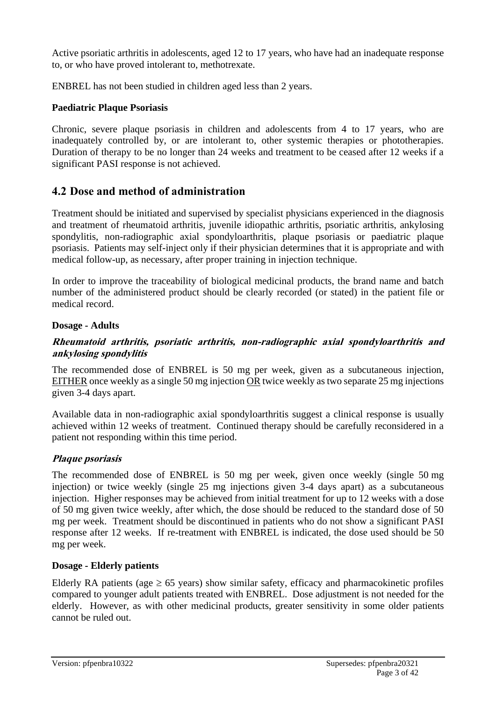Active psoriatic arthritis in adolescents, aged 12 to 17 years, who have had an inadequate response to, or who have proved intolerant to, methotrexate.

ENBREL has not been studied in children aged less than 2 years.

## **Paediatric Plaque Psoriasis**

Chronic, severe plaque psoriasis in children and adolescents from 4 to 17 years, who are inadequately controlled by, or are intolerant to, other systemic therapies or phototherapies. Duration of therapy to be no longer than 24 weeks and treatment to be ceased after 12 weeks if a significant PASI response is not achieved.

# **4.2 Dose and method of administration**

Treatment should be initiated and supervised by specialist physicians experienced in the diagnosis and treatment of rheumatoid arthritis, juvenile idiopathic arthritis, psoriatic arthritis, ankylosing spondylitis, non-radiographic axial spondyloarthritis, plaque psoriasis or paediatric plaque psoriasis. Patients may self-inject only if their physician determines that it is appropriate and with medical follow-up, as necessary, after proper training in injection technique.

In order to improve the traceability of biological medicinal products, the brand name and batch number of the administered product should be clearly recorded (or stated) in the patient file or medical record.

#### **Dosage - Adults**

#### **Rheumatoid arthritis, psoriatic arthritis, non-radiographic axial spondyloarthritis and ankylosing spondylitis**

The recommended dose of ENBREL is 50 mg per week, given as a subcutaneous injection, EITHER once weekly as a single 50 mg injection OR twice weekly as two separate 25 mg injections given 3-4 days apart.

Available data in non-radiographic axial spondyloarthritis suggest a clinical response is usually achieved within 12 weeks of treatment. Continued therapy should be carefully reconsidered in a patient not responding within this time period.

#### **Plaque psoriasis**

The recommended dose of ENBREL is 50 mg per week, given once weekly (single 50 mg injection) or twice weekly (single 25 mg injections given 3-4 days apart) as a subcutaneous injection. Higher responses may be achieved from initial treatment for up to 12 weeks with a dose of 50 mg given twice weekly, after which, the dose should be reduced to the standard dose of 50 mg per week. Treatment should be discontinued in patients who do not show a significant PASI response after 12 weeks. If re-treatment with ENBREL is indicated, the dose used should be 50 mg per week.

#### **Dosage - Elderly patients**

Elderly RA patients (age  $\geq$  65 years) show similar safety, efficacy and pharmacokinetic profiles compared to younger adult patients treated with ENBREL. Dose adjustment is not needed for the elderly. However, as with other medicinal products, greater sensitivity in some older patients cannot be ruled out.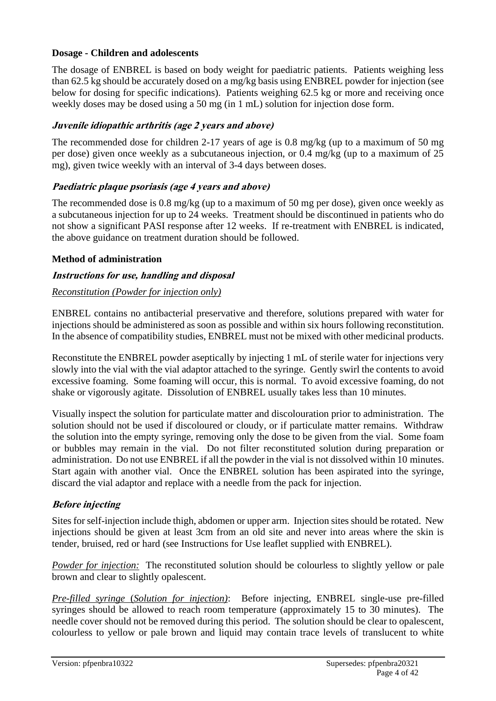## **Dosage - Children and adolescents**

The dosage of ENBREL is based on body weight for paediatric patients. Patients weighing less than 62.5 kg should be accurately dosed on a mg/kg basis using ENBREL powder for injection (see below for dosing for specific indications). Patients weighing 62.5 kg or more and receiving once weekly doses may be dosed using a 50 mg (in 1 mL) solution for injection dose form.

## **Juvenile idiopathic arthritis (age 2 years and above)**

The recommended dose for children 2-17 years of age is 0.8 mg/kg (up to a maximum of 50 mg per dose) given once weekly as a subcutaneous injection, or 0.4 mg/kg (up to a maximum of 25 mg), given twice weekly with an interval of 3-4 days between doses.

## **Paediatric plaque psoriasis (age 4 years and above)**

The recommended dose is 0.8 mg/kg (up to a maximum of 50 mg per dose), given once weekly as a subcutaneous injection for up to 24 weeks. Treatment should be discontinued in patients who do not show a significant PASI response after 12 weeks. If re-treatment with ENBREL is indicated, the above guidance on treatment duration should be followed.

## **Method of administration**

## **Instructions for use, handling and disposal**

## *Reconstitution (Powder for injection only)*

ENBREL contains no antibacterial preservative and therefore, solutions prepared with water for injections should be administered as soon as possible and within six hours following reconstitution. In the absence of compatibility studies, ENBREL must not be mixed with other medicinal products.

Reconstitute the ENBREL powder aseptically by injecting 1 mL of sterile water for injections very slowly into the vial with the vial adaptor attached to the syringe. Gently swirl the contents to avoid excessive foaming. Some foaming will occur, this is normal. To avoid excessive foaming, do not shake or vigorously agitate. Dissolution of ENBREL usually takes less than 10 minutes.

Visually inspect the solution for particulate matter and discolouration prior to administration. The solution should not be used if discoloured or cloudy, or if particulate matter remains. Withdraw the solution into the empty syringe, removing only the dose to be given from the vial. Some foam or bubbles may remain in the vial. Do not filter reconstituted solution during preparation or administration. Do not use ENBREL if all the powder in the vial is not dissolved within 10 minutes. Start again with another vial. Once the ENBREL solution has been aspirated into the syringe, discard the vial adaptor and replace with a needle from the pack for injection.

## **Before injecting**

Sites for self-injection include thigh, abdomen or upper arm. Injection sites should be rotated. New injections should be given at least 3cm from an old site and never into areas where the skin is tender, bruised, red or hard (see Instructions for Use leaflet supplied with ENBREL).

*Powder for injection:* The reconstituted solution should be colourless to slightly yellow or pale brown and clear to slightly opalescent.

*Pre-filled syringe* (*Solution for injection)*: Before injecting, ENBREL single-use pre-filled syringes should be allowed to reach room temperature (approximately 15 to 30 minutes). The needle cover should not be removed during this period. The solution should be clear to opalescent, colourless to yellow or pale brown and liquid may contain trace levels of translucent to white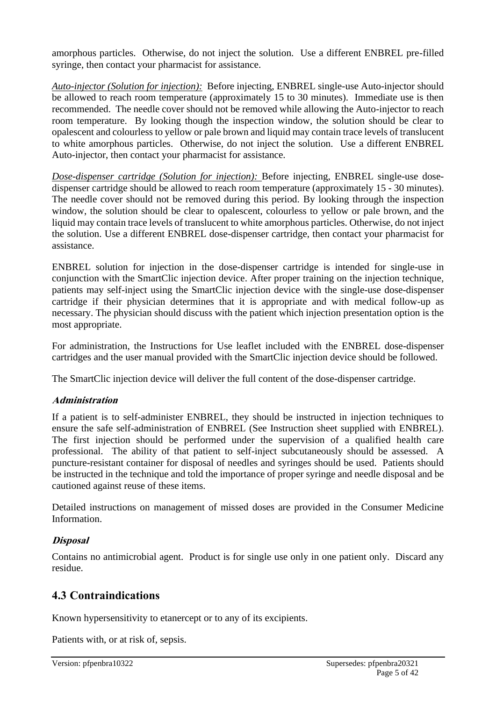amorphous particles. Otherwise, do not inject the solution. Use a different ENBREL pre-filled syringe, then contact your pharmacist for assistance.

*Auto-injector (Solution for injection):* Before injecting, ENBREL single-use Auto-injector should be allowed to reach room temperature (approximately 15 to 30 minutes). Immediate use is then recommended. The needle cover should not be removed while allowing the Auto-injector to reach room temperature. By looking though the inspection window, the solution should be clear to opalescent and colourless to yellow or pale brown and liquid may contain trace levels of translucent to white amorphous particles. Otherwise, do not inject the solution. Use a different ENBREL Auto-injector, then contact your pharmacist for assistance.

*Dose-dispenser cartridge (Solution for injection):* Before injecting, ENBREL single-use dosedispenser cartridge should be allowed to reach room temperature (approximately 15 - 30 minutes). The needle cover should not be removed during this period. By looking through the inspection window, the solution should be clear to opalescent, colourless to yellow or pale brown, and the liquid may contain trace levels of translucent to white amorphous particles. Otherwise, do not inject the solution. Use a different ENBREL dose-dispenser cartridge, then contact your pharmacist for assistance.

ENBREL solution for injection in the dose-dispenser cartridge is intended for single-use in conjunction with the SmartClic injection device. After proper training on the injection technique, patients may self-inject using the SmartClic injection device with the single-use dose-dispenser cartridge if their physician determines that it is appropriate and with medical follow-up as necessary. The physician should discuss with the patient which injection presentation option is the most appropriate.

For administration, the Instructions for Use leaflet included with the ENBREL dose-dispenser cartridges and the user manual provided with the SmartClic injection device should be followed.

The SmartClic injection device will deliver the full content of the dose-dispenser cartridge.

## **Administration**

If a patient is to self-administer ENBREL, they should be instructed in injection techniques to ensure the safe self-administration of ENBREL (See Instruction sheet supplied with ENBREL). The first injection should be performed under the supervision of a qualified health care professional. The ability of that patient to self-inject subcutaneously should be assessed. A puncture-resistant container for disposal of needles and syringes should be used. Patients should be instructed in the technique and told the importance of proper syringe and needle disposal and be cautioned against reuse of these items.

Detailed instructions on management of missed doses are provided in the Consumer Medicine Information.

## **Disposal**

Contains no antimicrobial agent. Product is for single use only in one patient only. Discard any residue.

# **4.3 Contraindications**

Known hypersensitivity to etanercept or to any of its excipients.

Patients with, or at risk of, sepsis.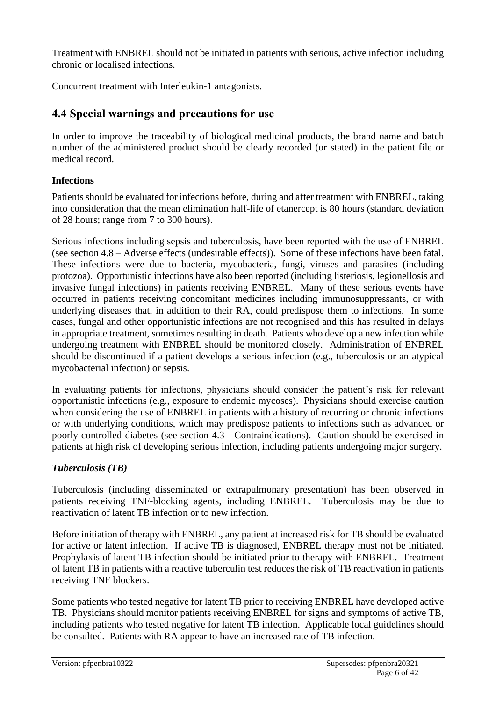Treatment with ENBREL should not be initiated in patients with serious, active infection including chronic or localised infections.

Concurrent treatment with Interleukin-1 antagonists.

# **4.4 Special warnings and precautions for use**

In order to improve the traceability of biological medicinal products, the brand name and batch number of the administered product should be clearly recorded (or stated) in the patient file or medical record.

# **Infections**

Patients should be evaluated for infections before, during and after treatment with ENBREL, taking into consideration that the mean elimination half-life of etanercept is 80 hours (standard deviation of 28 hours; range from 7 to 300 hours).

Serious infections including sepsis and tuberculosis, have been reported with the use of ENBREL (see section 4.8 – Adverse effects (undesirable effects)). Some of these infections have been fatal. These infections were due to bacteria, mycobacteria, fungi, viruses and parasites (including protozoa). Opportunistic infections have also been reported (including listeriosis, legionellosis and invasive fungal infections) in patients receiving ENBREL. Many of these serious events have occurred in patients receiving concomitant medicines including immunosuppressants, or with underlying diseases that, in addition to their RA, could predispose them to infections. In some cases, fungal and other opportunistic infections are not recognised and this has resulted in delays in appropriate treatment, sometimes resulting in death. Patients who develop a new infection while undergoing treatment with ENBREL should be monitored closely. Administration of ENBREL should be discontinued if a patient develops a serious infection (e.g., tuberculosis or an atypical mycobacterial infection) or sepsis.

In evaluating patients for infections, physicians should consider the patient's risk for relevant opportunistic infections (e.g., exposure to endemic mycoses). Physicians should exercise caution when considering the use of ENBREL in patients with a history of recurring or chronic infections or with underlying conditions, which may predispose patients to infections such as advanced or poorly controlled diabetes (see section 4.3 - Contraindications). Caution should be exercised in patients at high risk of developing serious infection, including patients undergoing major surgery.

# *Tuberculosis (TB)*

Tuberculosis (including disseminated or extrapulmonary presentation) has been observed in patients receiving TNF-blocking agents, including ENBREL. Tuberculosis may be due to reactivation of latent TB infection or to new infection.

Before initiation of therapy with ENBREL, any patient at increased risk for TB should be evaluated for active or latent infection. If active TB is diagnosed, ENBREL therapy must not be initiated. Prophylaxis of latent TB infection should be initiated prior to therapy with ENBREL. Treatment of latent TB in patients with a reactive tuberculin test reduces the risk of TB reactivation in patients receiving TNF blockers.

Some patients who tested negative for latent TB prior to receiving ENBREL have developed active TB. Physicians should monitor patients receiving ENBREL for signs and symptoms of active TB, including patients who tested negative for latent TB infection. Applicable local guidelines should be consulted. Patients with RA appear to have an increased rate of TB infection.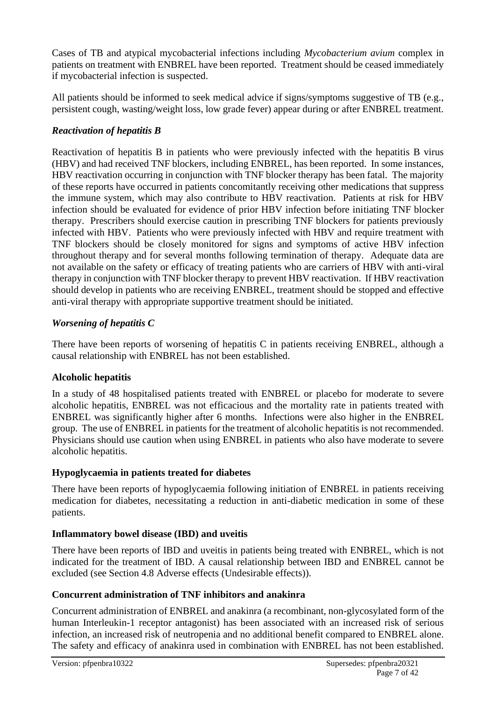Cases of TB and atypical mycobacterial infections including *Mycobacterium avium* complex in patients on treatment with ENBREL have been reported. Treatment should be ceased immediately if mycobacterial infection is suspected.

All patients should be informed to seek medical advice if signs/symptoms suggestive of TB (e.g., persistent cough, wasting/weight loss, low grade fever) appear during or after ENBREL treatment.

## *Reactivation of hepatitis B*

Reactivation of hepatitis B in patients who were previously infected with the hepatitis B virus (HBV) and had received TNF blockers, including ENBREL, has been reported. In some instances, HBV reactivation occurring in conjunction with TNF blocker therapy has been fatal. The majority of these reports have occurred in patients concomitantly receiving other medications that suppress the immune system, which may also contribute to HBV reactivation. Patients at risk for HBV infection should be evaluated for evidence of prior HBV infection before initiating TNF blocker therapy. Prescribers should exercise caution in prescribing TNF blockers for patients previously infected with HBV. Patients who were previously infected with HBV and require treatment with TNF blockers should be closely monitored for signs and symptoms of active HBV infection throughout therapy and for several months following termination of therapy. Adequate data are not available on the safety or efficacy of treating patients who are carriers of HBV with anti-viral therapy in conjunction with TNF blocker therapy to prevent HBV reactivation. If HBV reactivation should develop in patients who are receiving ENBREL, treatment should be stopped and effective anti-viral therapy with appropriate supportive treatment should be initiated.

## *Worsening of hepatitis C*

There have been reports of worsening of hepatitis C in patients receiving ENBREL, although a causal relationship with ENBREL has not been established.

## **Alcoholic hepatitis**

In a study of 48 hospitalised patients treated with ENBREL or placebo for moderate to severe alcoholic hepatitis, ENBREL was not efficacious and the mortality rate in patients treated with ENBREL was significantly higher after 6 months. Infections were also higher in the ENBREL group. The use of ENBREL in patients for the treatment of alcoholic hepatitis is not recommended. Physicians should use caution when using ENBREL in patients who also have moderate to severe alcoholic hepatitis.

## **Hypoglycaemia in patients treated for diabetes**

There have been reports of hypoglycaemia following initiation of ENBREL in patients receiving medication for diabetes, necessitating a reduction in anti-diabetic medication in some of these patients.

## **Inflammatory bowel disease (IBD) and uveitis**

There have been reports of IBD and uveitis in patients being treated with ENBREL, which is not indicated for the treatment of IBD. A causal relationship between IBD and ENBREL cannot be excluded (see Section 4.8 Adverse effects (Undesirable effects)).

## **Concurrent administration of TNF inhibitors and anakinra**

Concurrent administration of ENBREL and anakinra (a recombinant, non-glycosylated form of the human Interleukin-1 receptor antagonist) has been associated with an increased risk of serious infection, an increased risk of neutropenia and no additional benefit compared to ENBREL alone. The safety and efficacy of anakinra used in combination with ENBREL has not been established.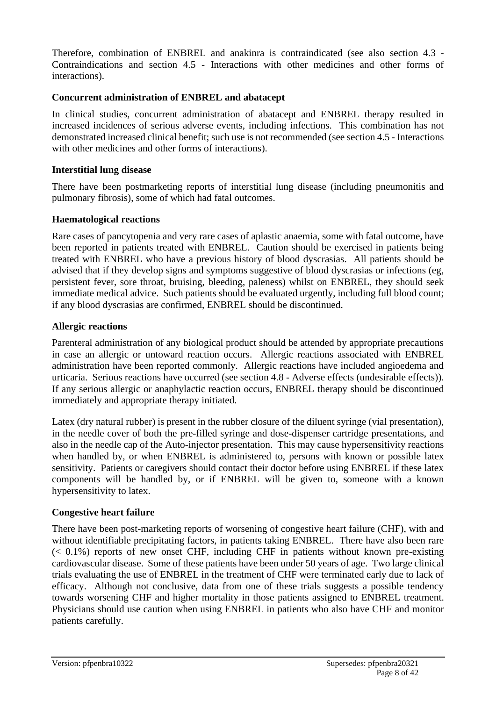Therefore, combination of ENBREL and anakinra is contraindicated (see also section 4.3 - Contraindications and section 4.5 - Interactions with other medicines and other forms of interactions).

## **Concurrent administration of ENBREL and abatacept**

In clinical studies, concurrent administration of abatacept and ENBREL therapy resulted in increased incidences of serious adverse events, including infections. This combination has not demonstrated increased clinical benefit; such use is not recommended (see section 4.5 - Interactions with other medicines and other forms of interactions).

#### **Interstitial lung disease**

There have been postmarketing reports of interstitial lung disease (including pneumonitis and pulmonary fibrosis), some of which had fatal outcomes.

#### **Haematological reactions**

Rare cases of pancytopenia and very rare cases of aplastic anaemia, some with fatal outcome, have been reported in patients treated with ENBREL. Caution should be exercised in patients being treated with ENBREL who have a previous history of blood dyscrasias. All patients should be advised that if they develop signs and symptoms suggestive of blood dyscrasias or infections (eg, persistent fever, sore throat, bruising, bleeding, paleness) whilst on ENBREL, they should seek immediate medical advice. Such patients should be evaluated urgently, including full blood count; if any blood dyscrasias are confirmed, ENBREL should be discontinued.

## **Allergic reactions**

Parenteral administration of any biological product should be attended by appropriate precautions in case an allergic or untoward reaction occurs. Allergic reactions associated with ENBREL administration have been reported commonly. Allergic reactions have included angioedema and urticaria. Serious reactions have occurred (see section 4.8 - Adverse effects (undesirable effects)). If any serious allergic or anaphylactic reaction occurs, ENBREL therapy should be discontinued immediately and appropriate therapy initiated.

Latex (dry natural rubber) is present in the rubber closure of the diluent syringe (vial presentation), in the needle cover of both the pre-filled syringe and dose-dispenser cartridge presentations, and also in the needle cap of the Auto-injector presentation. This may cause hypersensitivity reactions when handled by, or when ENBREL is administered to, persons with known or possible latex sensitivity. Patients or caregivers should contact their doctor before using ENBREL if these latex components will be handled by, or if ENBREL will be given to, someone with a known hypersensitivity to latex.

## **Congestive heart failure**

There have been post-marketing reports of worsening of congestive heart failure (CHF), with and without identifiable precipitating factors, in patients taking ENBREL. There have also been rare  $( $0.1\%$ ) reports of new onset CHF, including CHF in patients without known pre-existing$ cardiovascular disease. Some of these patients have been under 50 years of age. Two large clinical trials evaluating the use of ENBREL in the treatment of CHF were terminated early due to lack of efficacy. Although not conclusive, data from one of these trials suggests a possible tendency towards worsening CHF and higher mortality in those patients assigned to ENBREL treatment. Physicians should use caution when using ENBREL in patients who also have CHF and monitor patients carefully.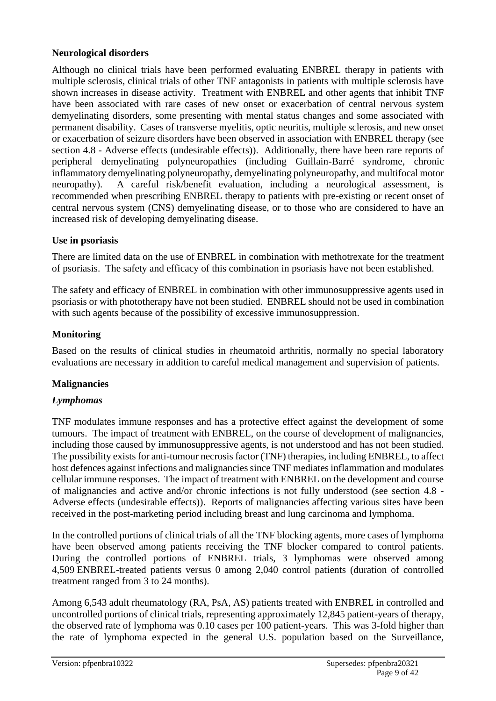## **Neurological disorders**

Although no clinical trials have been performed evaluating ENBREL therapy in patients with multiple sclerosis, clinical trials of other TNF antagonists in patients with multiple sclerosis have shown increases in disease activity. Treatment with ENBREL and other agents that inhibit TNF have been associated with rare cases of new onset or exacerbation of central nervous system demyelinating disorders, some presenting with mental status changes and some associated with permanent disability. Cases of transverse myelitis, optic neuritis, multiple sclerosis, and new onset or exacerbation of seizure disorders have been observed in association with ENBREL therapy (see section 4.8 - Adverse effects (undesirable effects)). Additionally, there have been rare reports of peripheral demyelinating polyneuropathies (including Guillain-Barré syndrome, chronic inflammatory demyelinating polyneuropathy, demyelinating polyneuropathy, and multifocal motor neuropathy). A careful risk/benefit evaluation, including a neurological assessment, is recommended when prescribing ENBREL therapy to patients with pre-existing or recent onset of central nervous system (CNS) demyelinating disease, or to those who are considered to have an increased risk of developing demyelinating disease.

## **Use in psoriasis**

There are limited data on the use of ENBREL in combination with methotrexate for the treatment of psoriasis. The safety and efficacy of this combination in psoriasis have not been established.

The safety and efficacy of ENBREL in combination with other immunosuppressive agents used in psoriasis or with phototherapy have not been studied. ENBREL should not be used in combination with such agents because of the possibility of excessive immunosuppression.

## **Monitoring**

Based on the results of clinical studies in rheumatoid arthritis, normally no special laboratory evaluations are necessary in addition to careful medical management and supervision of patients.

# **Malignancies**

## *Lymphomas*

TNF modulates immune responses and has a protective effect against the development of some tumours. The impact of treatment with ENBREL, on the course of development of malignancies, including those caused by immunosuppressive agents, is not understood and has not been studied. The possibility exists for anti-tumour necrosis factor (TNF) therapies, including ENBREL, to affect host defences against infections and malignancies since TNF mediates inflammation and modulates cellular immune responses. The impact of treatment with ENBREL on the development and course of malignancies and active and/or chronic infections is not fully understood (see section 4.8 - Adverse effects (undesirable effects)). Reports of malignancies affecting various sites have been received in the post-marketing period including breast and lung carcinoma and lymphoma.

In the controlled portions of clinical trials of all the TNF blocking agents, more cases of lymphoma have been observed among patients receiving the TNF blocker compared to control patients. During the controlled portions of ENBREL trials, 3 lymphomas were observed among 4,509 ENBREL-treated patients versus 0 among 2,040 control patients (duration of controlled treatment ranged from 3 to 24 months).

Among 6,543 adult rheumatology (RA, PsA, AS) patients treated with ENBREL in controlled and uncontrolled portions of clinical trials, representing approximately 12,845 patient-years of therapy, the observed rate of lymphoma was 0.10 cases per 100 patient-years. This was 3-fold higher than the rate of lymphoma expected in the general U.S. population based on the Surveillance,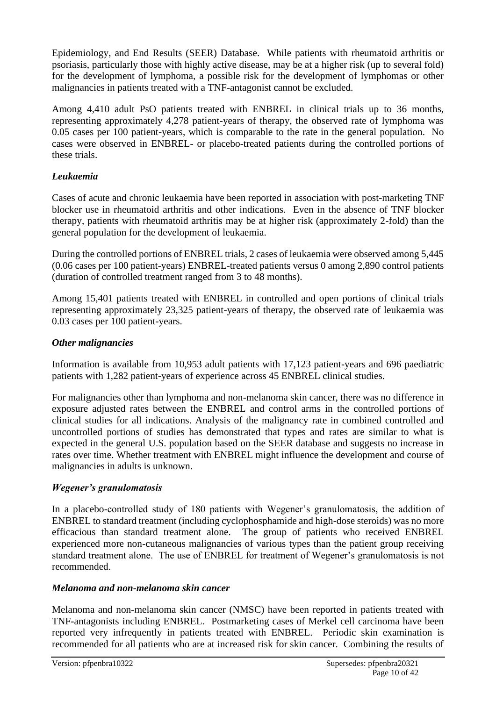Epidemiology, and End Results (SEER) Database. While patients with rheumatoid arthritis or psoriasis, particularly those with highly active disease, may be at a higher risk (up to several fold) for the development of lymphoma, a possible risk for the development of lymphomas or other malignancies in patients treated with a TNF-antagonist cannot be excluded.

Among 4,410 adult PsO patients treated with ENBREL in clinical trials up to 36 months, representing approximately 4,278 patient-years of therapy, the observed rate of lymphoma was 0.05 cases per 100 patient-years, which is comparable to the rate in the general population. No cases were observed in ENBREL- or placebo-treated patients during the controlled portions of these trials.

## *Leukaemia*

Cases of acute and chronic leukaemia have been reported in association with post-marketing TNF blocker use in rheumatoid arthritis and other indications. Even in the absence of TNF blocker therapy, patients with rheumatoid arthritis may be at higher risk (approximately 2-fold) than the general population for the development of leukaemia.

During the controlled portions of ENBREL trials, 2 cases of leukaemia were observed among 5,445 (0.06 cases per 100 patient-years) ENBREL-treated patients versus 0 among 2,890 control patients (duration of controlled treatment ranged from 3 to 48 months).

Among 15,401 patients treated with ENBREL in controlled and open portions of clinical trials representing approximately 23,325 patient-years of therapy, the observed rate of leukaemia was 0.03 cases per 100 patient-years.

## *Other malignancies*

Information is available from 10,953 adult patients with 17,123 patient-years and 696 paediatric patients with 1,282 patient-years of experience across 45 ENBREL clinical studies.

For malignancies other than lymphoma and non-melanoma skin cancer, there was no difference in exposure adjusted rates between the ENBREL and control arms in the controlled portions of clinical studies for all indications. Analysis of the malignancy rate in combined controlled and uncontrolled portions of studies has demonstrated that types and rates are similar to what is expected in the general U.S. population based on the SEER database and suggests no increase in rates over time. Whether treatment with ENBREL might influence the development and course of malignancies in adults is unknown.

## *Wegener's granulomatosis*

In a placebo-controlled study of 180 patients with Wegener's granulomatosis, the addition of ENBREL to standard treatment (including cyclophosphamide and high-dose steroids) was no more efficacious than standard treatment alone. The group of patients who received ENBREL experienced more non-cutaneous malignancies of various types than the patient group receiving standard treatment alone. The use of ENBREL for treatment of Wegener's granulomatosis is not recommended.

#### *Melanoma and non-melanoma skin cancer*

Melanoma and non-melanoma skin cancer (NMSC) have been reported in patients treated with TNF-antagonists including ENBREL. Postmarketing cases of Merkel cell carcinoma have been reported very infrequently in patients treated with ENBREL. Periodic skin examination is recommended for all patients who are at increased risk for skin cancer. Combining the results of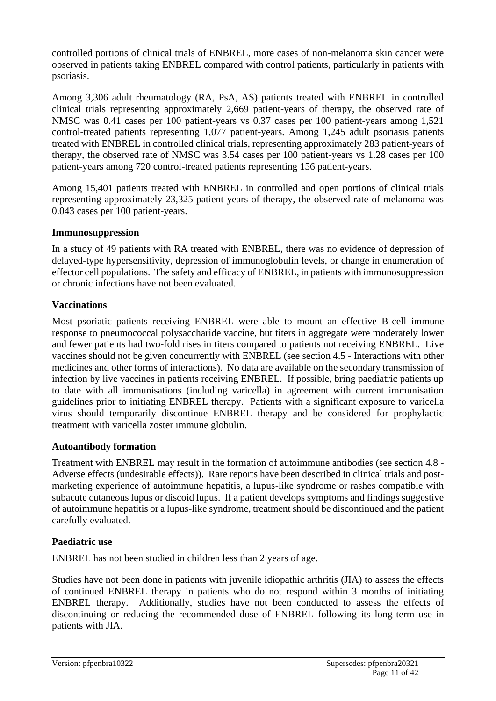controlled portions of clinical trials of ENBREL, more cases of non-melanoma skin cancer were observed in patients taking ENBREL compared with control patients, particularly in patients with psoriasis.

Among 3,306 adult rheumatology (RA, PsA, AS) patients treated with ENBREL in controlled clinical trials representing approximately 2,669 patient-years of therapy, the observed rate of NMSC was 0.41 cases per 100 patient-years vs 0.37 cases per 100 patient-years among 1,521 control-treated patients representing 1,077 patient-years. Among 1,245 adult psoriasis patients treated with ENBREL in controlled clinical trials, representing approximately 283 patient-years of therapy, the observed rate of NMSC was 3.54 cases per 100 patient-years vs 1.28 cases per 100 patient-years among 720 control-treated patients representing 156 patient-years.

Among 15,401 patients treated with ENBREL in controlled and open portions of clinical trials representing approximately 23,325 patient-years of therapy, the observed rate of melanoma was 0.043 cases per 100 patient-years.

## **Immunosuppression**

In a study of 49 patients with RA treated with ENBREL, there was no evidence of depression of delayed-type hypersensitivity, depression of immunoglobulin levels, or change in enumeration of effector cell populations. The safety and efficacy of ENBREL, in patients with immunosuppression or chronic infections have not been evaluated.

## **Vaccinations**

Most psoriatic patients receiving ENBREL were able to mount an effective B-cell immune response to pneumococcal polysaccharide vaccine, but titers in aggregate were moderately lower and fewer patients had two-fold rises in titers compared to patients not receiving ENBREL. Live vaccines should not be given concurrently with ENBREL (see section 4.5 - Interactions with other medicines and other forms of interactions). No data are available on the secondary transmission of infection by live vaccines in patients receiving ENBREL. If possible, bring paediatric patients up to date with all immunisations (including varicella) in agreement with current immunisation guidelines prior to initiating ENBREL therapy. Patients with a significant exposure to varicella virus should temporarily discontinue ENBREL therapy and be considered for prophylactic treatment with varicella zoster immune globulin.

#### **Autoantibody formation**

Treatment with ENBREL may result in the formation of autoimmune antibodies (see section 4.8 - Adverse effects (undesirable effects)). Rare reports have been described in clinical trials and postmarketing experience of autoimmune hepatitis, a lupus-like syndrome or rashes compatible with subacute cutaneous lupus or discoid lupus. If a patient develops symptoms and findings suggestive of autoimmune hepatitis or a lupus-like syndrome, treatment should be discontinued and the patient carefully evaluated.

#### **Paediatric use**

ENBREL has not been studied in children less than 2 years of age.

Studies have not been done in patients with juvenile idiopathic arthritis (JIA) to assess the effects of continued ENBREL therapy in patients who do not respond within 3 months of initiating ENBREL therapy. Additionally, studies have not been conducted to assess the effects of discontinuing or reducing the recommended dose of ENBREL following its long-term use in patients with JIA.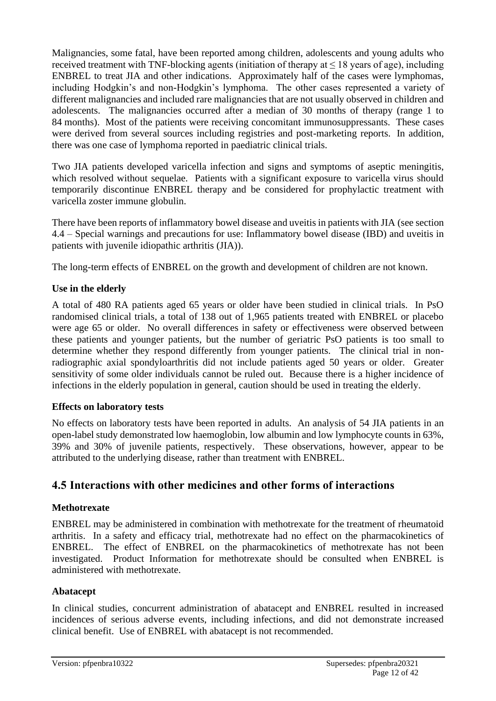Malignancies, some fatal, have been reported among children, adolescents and young adults who received treatment with TNF-blocking agents (initiation of therapy at  $\leq 18$  years of age), including ENBREL to treat JIA and other indications. Approximately half of the cases were lymphomas, including Hodgkin's and non-Hodgkin's lymphoma. The other cases represented a variety of different malignancies and included rare malignancies that are not usually observed in children and adolescents. The malignancies occurred after a median of 30 months of therapy (range 1 to 84 months). Most of the patients were receiving concomitant immunosuppressants. These cases were derived from several sources including registries and post-marketing reports. In addition, there was one case of lymphoma reported in paediatric clinical trials.

Two JIA patients developed varicella infection and signs and symptoms of aseptic meningitis, which resolved without sequelae. Patients with a significant exposure to varicella virus should temporarily discontinue ENBREL therapy and be considered for prophylactic treatment with varicella zoster immune globulin.

There have been reports of inflammatory bowel disease and uveitis in patients with JIA (see section 4.4 – Special warnings and precautions for use: Inflammatory bowel disease (IBD) and uveitis in patients with juvenile idiopathic arthritis (JIA)).

The long-term effects of ENBREL on the growth and development of children are not known.

## **Use in the elderly**

A total of 480 RA patients aged 65 years or older have been studied in clinical trials. In PsO randomised clinical trials, a total of 138 out of 1,965 patients treated with ENBREL or placebo were age 65 or older. No overall differences in safety or effectiveness were observed between these patients and younger patients, but the number of geriatric PsO patients is too small to determine whether they respond differently from younger patients. The clinical trial in nonradiographic axial spondyloarthritis did not include patients aged 50 years or older. Greater sensitivity of some older individuals cannot be ruled out. Because there is a higher incidence of infections in the elderly population in general, caution should be used in treating the elderly.

#### **Effects on laboratory tests**

No effects on laboratory tests have been reported in adults. An analysis of 54 JIA patients in an open-label study demonstrated low haemoglobin, low albumin and low lymphocyte counts in 63%, 39% and 30% of juvenile patients, respectively. These observations, however, appear to be attributed to the underlying disease, rather than treatment with ENBREL.

# **4.5 Interactions with other medicines and other forms of interactions**

## **Methotrexate**

ENBREL may be administered in combination with methotrexate for the treatment of rheumatoid arthritis. In a safety and efficacy trial, methotrexate had no effect on the pharmacokinetics of ENBREL. The effect of ENBREL on the pharmacokinetics of methotrexate has not been investigated. Product Information for methotrexate should be consulted when ENBREL is administered with methotrexate.

## **Abatacept**

In clinical studies, concurrent administration of abatacept and ENBREL resulted in increased incidences of serious adverse events, including infections, and did not demonstrate increased clinical benefit. Use of ENBREL with abatacept is not recommended.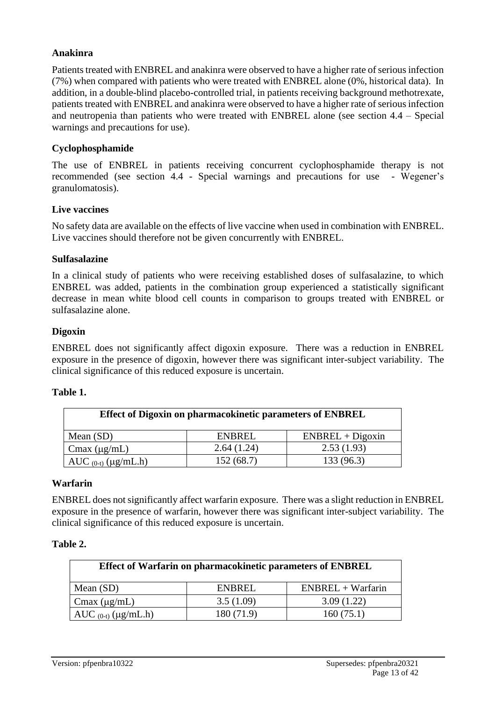## **Anakinra**

Patients treated with ENBREL and anakinra were observed to have a higher rate of serious infection (7%) when compared with patients who were treated with ENBREL alone (0%, historical data). In addition, in a double-blind placebo-controlled trial, in patients receiving background methotrexate, patients treated with ENBREL and anakinra were observed to have a higher rate of serious infection and neutropenia than patients who were treated with ENBREL alone (see section 4.4 – Special warnings and precautions for use).

#### **Cyclophosphamide**

The use of ENBREL in patients receiving concurrent cyclophosphamide therapy is not recommended (see section 4.4 - Special warnings and precautions for use - Wegener's granulomatosis).

#### **Live vaccines**

No safety data are available on the effects of live vaccine when used in combination with ENBREL. Live vaccines should therefore not be given concurrently with ENBREL.

#### **Sulfasalazine**

In a clinical study of patients who were receiving established doses of sulfasalazine, to which ENBREL was added, patients in the combination group experienced a statistically significant decrease in mean white blood cell counts in comparison to groups treated with ENBREL or sulfasalazine alone.

#### **Digoxin**

ENBREL does not significantly affect digoxin exposure. There was a reduction in ENBREL exposure in the presence of digoxin, however there was significant inter-subject variability. The clinical significance of this reduced exposure is uncertain.

#### **Table 1.**

| <b>Effect of Digoxin on pharmacokinetic parameters of ENBREL</b> |            |                    |  |
|------------------------------------------------------------------|------------|--------------------|--|
| Mean $(SD)$                                                      | ENBREL     | $ENBREL + Digoxin$ |  |
| $C$ max ( $\mu$ g/mL)                                            | 2.64(1.24) | 2.53(1.93)         |  |
| AUC $_{(0-t)}$ (µg/mL.h)                                         | 152(68.7)  | 133 (96.3)         |  |

#### **Warfarin**

ENBREL does not significantly affect warfarin exposure. There was a slight reduction in ENBREL exposure in the presence of warfarin, however there was significant inter-subject variability. The clinical significance of this reduced exposure is uncertain.

#### **Table 2.**

| Effect of Warfarin on pharmacokinetic parameters of ENBREL |        |                     |  |  |
|------------------------------------------------------------|--------|---------------------|--|--|
| Mean $(SD)$                                                | ENBREL | $ENBREL + Warfarin$ |  |  |
| 3.5(1.09)<br>3.09(1.22)<br>$C$ max ( $\mu$ g/mL)           |        |                     |  |  |
| 180 (71.9)<br>160(75.1)<br>AUC $_{(0-t)}$ ( $\mu$ g/mL.h)  |        |                     |  |  |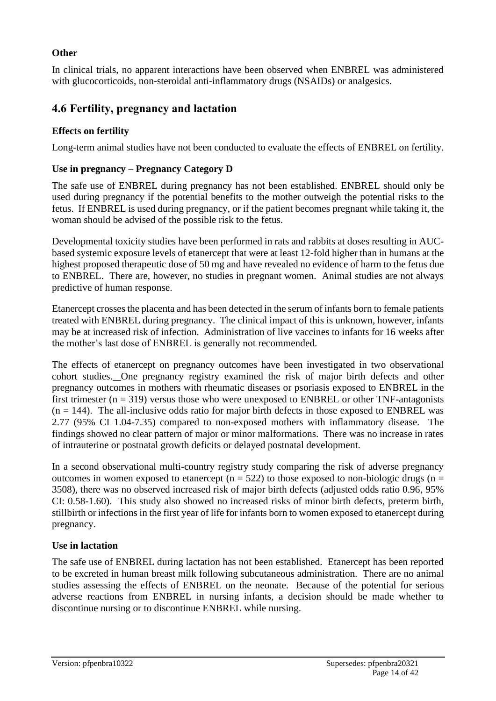## **Other**

In clinical trials, no apparent interactions have been observed when ENBREL was administered with glucocorticoids, non-steroidal anti-inflammatory drugs (NSAIDs) or analgesics.

# **4.6 Fertility, pregnancy and lactation**

## **Effects on fertility**

Long-term animal studies have not been conducted to evaluate the effects of ENBREL on fertility.

## **Use in pregnancy – Pregnancy Category D**

The safe use of ENBREL during pregnancy has not been established. ENBREL should only be used during pregnancy if the potential benefits to the mother outweigh the potential risks to the fetus. If ENBREL is used during pregnancy, or if the patient becomes pregnant while taking it, the woman should be advised of the possible risk to the fetus.

Developmental toxicity studies have been performed in rats and rabbits at doses resulting in AUCbased systemic exposure levels of etanercept that were at least 12-fold higher than in humans at the highest proposed therapeutic dose of 50 mg and have revealed no evidence of harm to the fetus due to ENBREL. There are, however, no studies in pregnant women. Animal studies are not always predictive of human response.

Etanercept crosses the placenta and has been detected in the serum of infants born to female patients treated with ENBREL during pregnancy. The clinical impact of this is unknown, however, infants may be at increased risk of infection. Administration of live vaccines to infants for 16 weeks after the mother's last dose of ENBREL is generally not recommended.

The effects of etanercept on pregnancy outcomes have been investigated in two observational cohort studies. One pregnancy registry examined the risk of major birth defects and other pregnancy outcomes in mothers with rheumatic diseases or psoriasis exposed to ENBREL in the first trimester ( $n = 319$ ) versus those who were unexposed to ENBREL or other TNF-antagonists  $(n = 144)$ . The all-inclusive odds ratio for major birth defects in those exposed to ENBREL was 2.77 (95% CI 1.04-7.35) compared to non-exposed mothers with inflammatory disease. The findings showed no clear pattern of major or minor malformations. There was no increase in rates of intrauterine or postnatal growth deficits or delayed postnatal development.

In a second observational multi-country registry study comparing the risk of adverse pregnancy outcomes in women exposed to etanercept ( $n = 522$ ) to those exposed to non-biologic drugs ( $n =$ 3508), there was no observed increased risk of major birth defects (adjusted odds ratio 0.96, 95% CI: 0.58-1.60). This study also showed no increased risks of minor birth defects, preterm birth, stillbirth or infections in the first year of life for infants born to women exposed to etanercept during pregnancy.

## **Use in lactation**

The safe use of ENBREL during lactation has not been established. Etanercept has been reported to be excreted in human breast milk following subcutaneous administration. There are no animal studies assessing the effects of ENBREL on the neonate. Because of the potential for serious adverse reactions from ENBREL in nursing infants, a decision should be made whether to discontinue nursing or to discontinue ENBREL while nursing.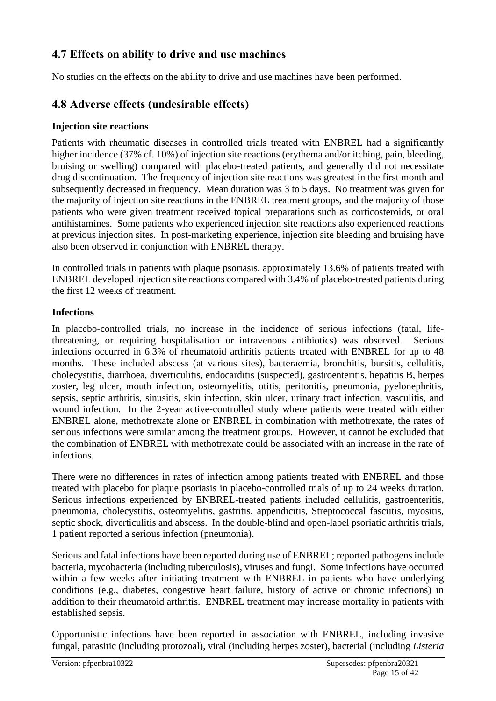# **4.7 Effects on ability to drive and use machines**

No studies on the effects on the ability to drive and use machines have been performed.

# **4.8 Adverse effects (undesirable effects)**

## **Injection site reactions**

Patients with rheumatic diseases in controlled trials treated with ENBREL had a significantly higher incidence (37% cf. 10%) of injection site reactions (erythema and/or itching, pain, bleeding, bruising or swelling) compared with placebo-treated patients, and generally did not necessitate drug discontinuation. The frequency of injection site reactions was greatest in the first month and subsequently decreased in frequency. Mean duration was 3 to 5 days. No treatment was given for the majority of injection site reactions in the ENBREL treatment groups, and the majority of those patients who were given treatment received topical preparations such as corticosteroids, or oral antihistamines. Some patients who experienced injection site reactions also experienced reactions at previous injection sites. In post-marketing experience, injection site bleeding and bruising have also been observed in conjunction with ENBREL therapy.

In controlled trials in patients with plaque psoriasis, approximately 13.6% of patients treated with ENBREL developed injection site reactions compared with 3.4% of placebo-treated patients during the first 12 weeks of treatment.

## **Infections**

In placebo-controlled trials, no increase in the incidence of serious infections (fatal, lifethreatening, or requiring hospitalisation or intravenous antibiotics) was observed. Serious infections occurred in 6.3% of rheumatoid arthritis patients treated with ENBREL for up to 48 months. These included abscess (at various sites), bacteraemia, bronchitis, bursitis, cellulitis, cholecystitis, diarrhoea, diverticulitis, endocarditis (suspected), gastroenteritis, hepatitis B, herpes zoster, leg ulcer, mouth infection, osteomyelitis, otitis, peritonitis, pneumonia, pyelonephritis, sepsis, septic arthritis, sinusitis, skin infection, skin ulcer, urinary tract infection, vasculitis, and wound infection. In the 2-year active-controlled study where patients were treated with either ENBREL alone, methotrexate alone or ENBREL in combination with methotrexate, the rates of serious infections were similar among the treatment groups. However, it cannot be excluded that the combination of ENBREL with methotrexate could be associated with an increase in the rate of infections.

There were no differences in rates of infection among patients treated with ENBREL and those treated with placebo for plaque psoriasis in placebo-controlled trials of up to 24 weeks duration. Serious infections experienced by ENBREL-treated patients included cellulitis, gastroenteritis, pneumonia, cholecystitis, osteomyelitis, gastritis, appendicitis, Streptococcal fasciitis, myositis, septic shock, diverticulitis and abscess. In the double-blind and open-label psoriatic arthritis trials, 1 patient reported a serious infection (pneumonia).

Serious and fatal infections have been reported during use of ENBREL; reported pathogens include bacteria, mycobacteria (including tuberculosis), viruses and fungi. Some infections have occurred within a few weeks after initiating treatment with ENBREL in patients who have underlying conditions (e.g., diabetes, congestive heart failure, history of active or chronic infections) in addition to their rheumatoid arthritis. ENBREL treatment may increase mortality in patients with established sepsis.

Opportunistic infections have been reported in association with ENBREL, including invasive fungal, parasitic (including protozoal), viral (including herpes zoster), bacterial (including *Listeria*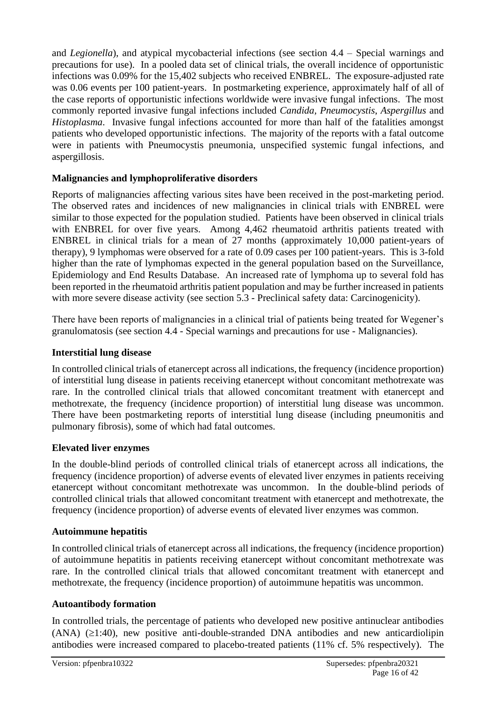and *Legionella*), and atypical mycobacterial infections (see section 4.4 – Special warnings and precautions for use). In a pooled data set of clinical trials, the overall incidence of opportunistic infections was 0.09% for the 15,402 subjects who received ENBREL. The exposure-adjusted rate was 0.06 events per 100 patient-years. In postmarketing experience, approximately half of all of the case reports of opportunistic infections worldwide were invasive fungal infections. The most commonly reported invasive fungal infections included *Candida, Pneumocystis*, *Aspergillus* and *Histoplasma*. Invasive fungal infections accounted for more than half of the fatalities amongst patients who developed opportunistic infections. The majority of the reports with a fatal outcome were in patients with Pneumocystis pneumonia, unspecified systemic fungal infections, and aspergillosis.

## **Malignancies and lymphoproliferative disorders**

Reports of malignancies affecting various sites have been received in the post-marketing period. The observed rates and incidences of new malignancies in clinical trials with ENBREL were similar to those expected for the population studied. Patients have been observed in clinical trials with ENBREL for over five years. Among 4,462 rheumatoid arthritis patients treated with ENBREL in clinical trials for a mean of 27 months (approximately 10,000 patient-years of therapy), 9 lymphomas were observed for a rate of 0.09 cases per 100 patient-years. This is 3-fold higher than the rate of lymphomas expected in the general population based on the Surveillance, Epidemiology and End Results Database. An increased rate of lymphoma up to several fold has been reported in the rheumatoid arthritis patient population and may be further increased in patients with more severe disease activity (see section 5.3 - Preclinical safety data: Carcinogenicity).

There have been reports of malignancies in a clinical trial of patients being treated for Wegener's granulomatosis (see section 4.4 - Special warnings and precautions for use - Malignancies).

## **Interstitial lung disease**

In controlled clinical trials of etanercept across all indications, the frequency (incidence proportion) of interstitial lung disease in patients receiving etanercept without concomitant methotrexate was rare. In the controlled clinical trials that allowed concomitant treatment with etanercept and methotrexate, the frequency (incidence proportion) of interstitial lung disease was uncommon. There have been postmarketing reports of interstitial lung disease (including pneumonitis and pulmonary fibrosis), some of which had fatal outcomes.

#### **Elevated liver enzymes**

In the double-blind periods of controlled clinical trials of etanercept across all indications, the frequency (incidence proportion) of adverse events of elevated liver enzymes in patients receiving etanercept without concomitant methotrexate was uncommon. In the double-blind periods of controlled clinical trials that allowed concomitant treatment with etanercept and methotrexate, the frequency (incidence proportion) of adverse events of elevated liver enzymes was common.

#### **Autoimmune hepatitis**

In controlled clinical trials of etanercept across all indications, the frequency (incidence proportion) of autoimmune hepatitis in patients receiving etanercept without concomitant methotrexate was rare. In the controlled clinical trials that allowed concomitant treatment with etanercept and methotrexate, the frequency (incidence proportion) of autoimmune hepatitis was uncommon.

#### **Autoantibody formation**

In controlled trials, the percentage of patients who developed new positive antinuclear antibodies  $(ANA)$   $(≥1:40)$ , new positive anti-double-stranded DNA antibodies and new anticardiolipin antibodies were increased compared to placebo-treated patients (11% cf. 5% respectively). The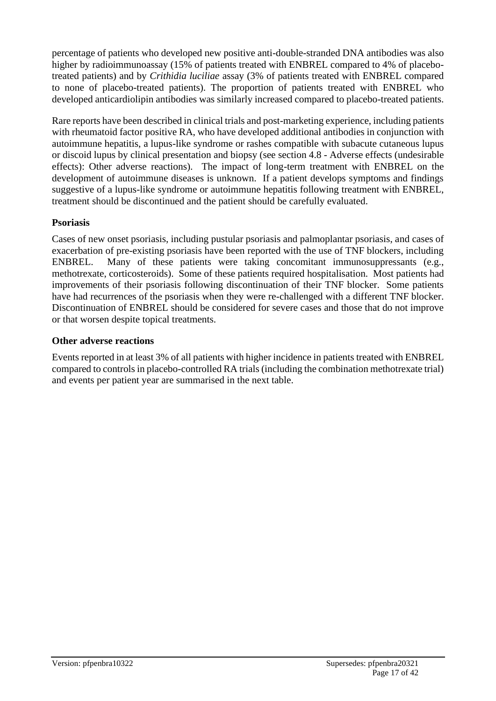percentage of patients who developed new positive anti-double-stranded DNA antibodies was also higher by radioimmunoassay (15% of patients treated with ENBREL compared to 4% of placebotreated patients) and by *Crithidia luciliae* assay (3% of patients treated with ENBREL compared to none of placebo-treated patients). The proportion of patients treated with ENBREL who developed anticardiolipin antibodies was similarly increased compared to placebo-treated patients.

Rare reports have been described in clinical trials and post-marketing experience, including patients with rheumatoid factor positive RA, who have developed additional antibodies in conjunction with autoimmune hepatitis, a lupus-like syndrome or rashes compatible with subacute cutaneous lupus or discoid lupus by clinical presentation and biopsy (see section 4.8 - Adverse effects (undesirable effects): Other adverse reactions). The impact of long-term treatment with ENBREL on the development of autoimmune diseases is unknown. If a patient develops symptoms and findings suggestive of a lupus-like syndrome or autoimmune hepatitis following treatment with ENBREL, treatment should be discontinued and the patient should be carefully evaluated.

## **Psoriasis**

Cases of new onset psoriasis, including pustular psoriasis and palmoplantar psoriasis, and cases of exacerbation of pre-existing psoriasis have been reported with the use of TNF blockers, including ENBREL. Many of these patients were taking concomitant immunosuppressants (e.g., methotrexate, corticosteroids). Some of these patients required hospitalisation. Most patients had improvements of their psoriasis following discontinuation of their TNF blocker. Some patients have had recurrences of the psoriasis when they were re-challenged with a different TNF blocker. Discontinuation of ENBREL should be considered for severe cases and those that do not improve or that worsen despite topical treatments.

## **Other adverse reactions**

Events reported in at least 3% of all patients with higher incidence in patients treated with ENBREL compared to controls in placebo-controlled RA trials (including the combination methotrexate trial) and events per patient year are summarised in the next table.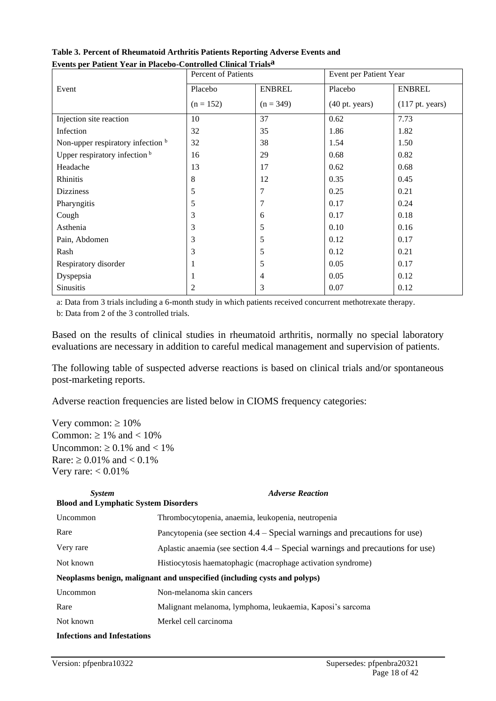| втене рег ганене геаг нгт месоо сони онеа списат ггане | Percent of Patients |               | Event per Patient Year   |                           |
|--------------------------------------------------------|---------------------|---------------|--------------------------|---------------------------|
| Event                                                  | Placebo             | <b>ENBREL</b> | Placebo                  | <b>ENBREL</b>             |
|                                                        | $(n = 152)$         | $(n = 349)$   | $(40 \text{ pt. years})$ | $(117 \text{ pt. years})$ |
| Injection site reaction                                | 10                  | 37            | 0.62                     | 7.73                      |
| Infection                                              | 32                  | 35            | 1.86                     | 1.82                      |
| Non-upper respiratory infection b                      | 32                  | 38            | 1.54                     | 1.50                      |
| Upper respiratory infection <sup>b</sup>               | 16                  | 29            | 0.68                     | 0.82                      |
| Headache                                               | 13                  | 17            | 0.62                     | 0.68                      |
| Rhinitis                                               | 8                   | 12            | 0.35                     | 0.45                      |
| <b>Dizziness</b>                                       | 5                   | 7             | 0.25                     | 0.21                      |
| Pharyngitis                                            | 5                   | 7             | 0.17                     | 0.24                      |
| Cough                                                  | 3                   | 6             | 0.17                     | 0.18                      |
| Asthenia                                               | 3                   | 5             | 0.10                     | 0.16                      |
| Pain, Abdomen                                          | 3                   | 5             | 0.12                     | 0.17                      |
| Rash                                                   | 3                   | 5             | 0.12                     | 0.21                      |
| Respiratory disorder                                   |                     | 5             | 0.05                     | 0.17                      |
| Dyspepsia                                              |                     | 4             | 0.05                     | 0.12                      |
| Sinusitis                                              | 2                   | 3             | 0.07                     | 0.12                      |

**Table 3. Percent of Rheumatoid Arthritis Patients Reporting Adverse Events and Events per Patient Year in Placebo-Controlled Clinical Trialsa**

a: Data from 3 trials including a 6-month study in which patients received concurrent methotrexate therapy. b: Data from 2 of the 3 controlled trials.

Based on the results of clinical studies in rheumatoid arthritis, normally no special laboratory evaluations are necessary in addition to careful medical management and supervision of patients.

The following table of suspected adverse reactions is based on clinical trials and/or spontaneous post-marketing reports.

Adverse reaction frequencies are listed below in CIOMS frequency categories:

Very common:  $\geq 10\%$ Common:  $\geq 1\%$  and  $< 10\%$ Uncommon:  $\geq 0.1\%$  and  $\lt 1\%$ Rare:  $\geq 0.01\%$  and  $< 0.1\%$ Very rare:  $< 0.01\%$ 

| <b>System</b><br><b>Blood and Lymphatic System Disorders</b> | <b>Adverse Reaction</b>                                                         |
|--------------------------------------------------------------|---------------------------------------------------------------------------------|
| Uncommon                                                     | Thrombocytopenia, anaemia, leukopenia, neutropenia                              |
| Rare                                                         | Pancytopenia (see section $4.4$ – Special warnings and precautions for use)     |
| Very rare                                                    | Aplastic anaemia (see section $4.4$ – Special warnings and precautions for use) |
| Not known                                                    | Histiocytosis haematophagic (macrophage activation syndrome)                    |
|                                                              | Neoplasms benign, malignant and unspecified (including cysts and polyps)        |
| Uncommon                                                     | Non-melanoma skin cancers                                                       |
| Rare                                                         | Malignant melanoma, lymphoma, leukaemia, Kaposi's sarcoma                       |
| Not known                                                    | Merkel cell carcinoma                                                           |
| <b>Infections and Infestations</b>                           |                                                                                 |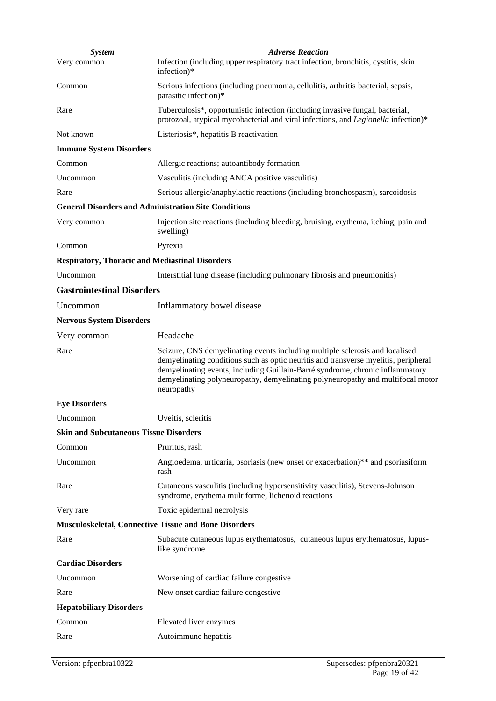| <b>System</b>                                               | <b>Adverse Reaction</b>                                                                                                                                                                                                                                                                                                                               |
|-------------------------------------------------------------|-------------------------------------------------------------------------------------------------------------------------------------------------------------------------------------------------------------------------------------------------------------------------------------------------------------------------------------------------------|
| Very common                                                 | Infection (including upper respiratory tract infection, bronchitis, cystitis, skin<br>infection)*                                                                                                                                                                                                                                                     |
| Common                                                      | Serious infections (including pneumonia, cellulitis, arthritis bacterial, sepsis,<br>parasitic infection)*                                                                                                                                                                                                                                            |
| Rare                                                        | Tuberculosis*, opportunistic infection (including invasive fungal, bacterial,<br>protozoal, atypical mycobacterial and viral infections, and Legionella infection)*                                                                                                                                                                                   |
| Not known                                                   | Listeriosis*, hepatitis B reactivation                                                                                                                                                                                                                                                                                                                |
| <b>Immune System Disorders</b>                              |                                                                                                                                                                                                                                                                                                                                                       |
| Common                                                      | Allergic reactions; autoantibody formation                                                                                                                                                                                                                                                                                                            |
| Uncommon                                                    | Vasculitis (including ANCA positive vasculitis)                                                                                                                                                                                                                                                                                                       |
| Rare                                                        | Serious allergic/anaphylactic reactions (including bronchospasm), sarcoidosis                                                                                                                                                                                                                                                                         |
| <b>General Disorders and Administration Site Conditions</b> |                                                                                                                                                                                                                                                                                                                                                       |
| Very common                                                 | Injection site reactions (including bleeding, bruising, erythema, itching, pain and<br>swelling)                                                                                                                                                                                                                                                      |
| Common                                                      | Pyrexia                                                                                                                                                                                                                                                                                                                                               |
| <b>Respiratory, Thoracic and Mediastinal Disorders</b>      |                                                                                                                                                                                                                                                                                                                                                       |
| Uncommon                                                    | Interstitial lung disease (including pulmonary fibrosis and pneumonitis)                                                                                                                                                                                                                                                                              |
| <b>Gastrointestinal Disorders</b>                           |                                                                                                                                                                                                                                                                                                                                                       |
| Uncommon                                                    | Inflammatory bowel disease                                                                                                                                                                                                                                                                                                                            |
| <b>Nervous System Disorders</b>                             |                                                                                                                                                                                                                                                                                                                                                       |
| Very common                                                 | Headache                                                                                                                                                                                                                                                                                                                                              |
| Rare                                                        | Seizure, CNS demyelinating events including multiple sclerosis and localised<br>demyelinating conditions such as optic neuritis and transverse myelitis, peripheral<br>demyelinating events, including Guillain-Barré syndrome, chronic inflammatory<br>demyelinating polyneuropathy, demyelinating polyneuropathy and multifocal motor<br>neuropathy |
| <b>Eye Disorders</b>                                        |                                                                                                                                                                                                                                                                                                                                                       |
| Uncommon                                                    | Uveitis, scleritis                                                                                                                                                                                                                                                                                                                                    |
| <b>Skin and Subcutaneous Tissue Disorders</b>               |                                                                                                                                                                                                                                                                                                                                                       |
| Common                                                      | Pruritus, rash                                                                                                                                                                                                                                                                                                                                        |
| Uncommon                                                    | Angioedema, urticaria, psoriasis (new onset or exacerbation)** and psoriasiform<br>rash                                                                                                                                                                                                                                                               |
| Rare                                                        | Cutaneous vasculitis (including hypersensitivity vasculitis), Stevens-Johnson<br>syndrome, erythema multiforme, lichenoid reactions                                                                                                                                                                                                                   |
| Very rare                                                   | Toxic epidermal necrolysis                                                                                                                                                                                                                                                                                                                            |
| Musculoskeletal, Connective Tissue and Bone Disorders       |                                                                                                                                                                                                                                                                                                                                                       |
| Rare                                                        | Subacute cutaneous lupus erythematosus, cutaneous lupus erythematosus, lupus-<br>like syndrome                                                                                                                                                                                                                                                        |
| <b>Cardiac Disorders</b>                                    |                                                                                                                                                                                                                                                                                                                                                       |
| Uncommon                                                    | Worsening of cardiac failure congestive                                                                                                                                                                                                                                                                                                               |
| Rare                                                        | New onset cardiac failure congestive                                                                                                                                                                                                                                                                                                                  |
| <b>Hepatobiliary Disorders</b>                              |                                                                                                                                                                                                                                                                                                                                                       |
| Common                                                      | Elevated liver enzymes                                                                                                                                                                                                                                                                                                                                |
| Rare                                                        | Autoimmune hepatitis                                                                                                                                                                                                                                                                                                                                  |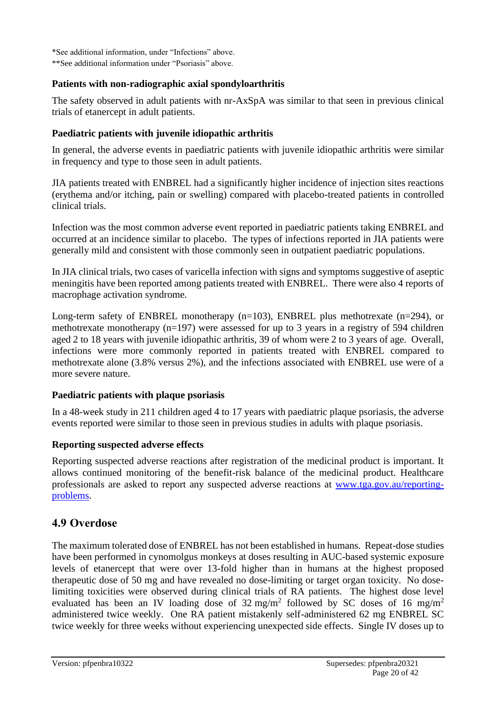\*See additional information, under "Infections" above. \*\*See additional information under "Psoriasis" above.

## **Patients with non-radiographic axial spondyloarthritis**

The safety observed in adult patients with nr-AxSpA was similar to that seen in previous clinical trials of etanercept in adult patients.

## **Paediatric patients with juvenile idiopathic arthritis**

In general, the adverse events in paediatric patients with juvenile idiopathic arthritis were similar in frequency and type to those seen in adult patients.

JIA patients treated with ENBREL had a significantly higher incidence of injection sites reactions (erythema and/or itching, pain or swelling) compared with placebo-treated patients in controlled clinical trials.

Infection was the most common adverse event reported in paediatric patients taking ENBREL and occurred at an incidence similar to placebo. The types of infections reported in JIA patients were generally mild and consistent with those commonly seen in outpatient paediatric populations.

In JIA clinical trials, two cases of varicella infection with signs and symptoms suggestive of aseptic meningitis have been reported among patients treated with ENBREL. There were also 4 reports of macrophage activation syndrome.

Long-term safety of ENBREL monotherapy  $(n=103)$ , ENBREL plus methotrexate  $(n=294)$ , or methotrexate monotherapy (n=197) were assessed for up to 3 years in a registry of 594 children aged 2 to 18 years with juvenile idiopathic arthritis, 39 of whom were 2 to 3 years of age. Overall, infections were more commonly reported in patients treated with ENBREL compared to methotrexate alone (3.8% versus 2%), and the infections associated with ENBREL use were of a more severe nature.

#### **Paediatric patients with plaque psoriasis**

In a 48-week study in 211 children aged 4 to 17 years with paediatric plaque psoriasis, the adverse events reported were similar to those seen in previous studies in adults with plaque psoriasis.

#### **Reporting suspected adverse effects**

Reporting suspected adverse reactions after registration of the medicinal product is important. It allows continued monitoring of the benefit-risk balance of the medicinal product. Healthcare professionals are asked to report any suspected adverse reactions at [www.tga.gov.au/reporting](http://www.tga.gov.au/reporting-problems)[problems.](http://www.tga.gov.au/reporting-problems)

# **4.9 Overdose**

The maximum tolerated dose of ENBREL has not been established in humans. Repeat-dose studies have been performed in cynomolgus monkeys at doses resulting in AUC-based systemic exposure levels of etanercept that were over 13-fold higher than in humans at the highest proposed therapeutic dose of 50 mg and have revealed no dose-limiting or target organ toxicity. No doselimiting toxicities were observed during clinical trials of RA patients. The highest dose level evaluated has been an IV loading dose of  $32 \text{ mg/m}^2$  followed by SC doses of 16 mg/m<sup>2</sup> administered twice weekly. One RA patient mistakenly self-administered 62 mg ENBREL SC twice weekly for three weeks without experiencing unexpected side effects. Single IV doses up to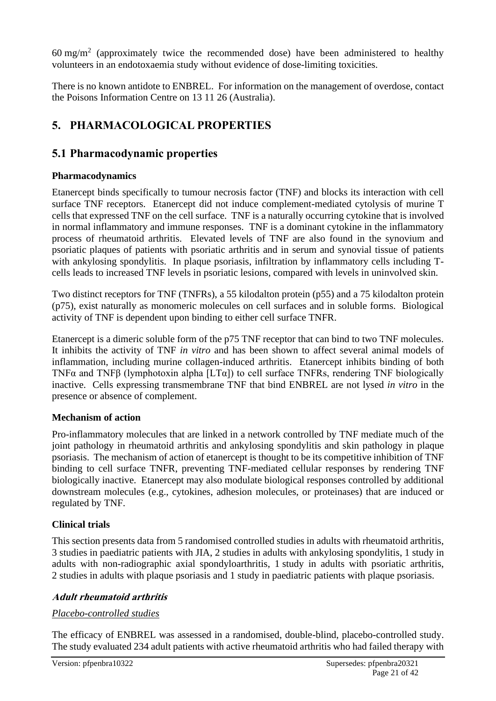60 mg/m<sup>2</sup> (approximately twice the recommended dose) have been administered to healthy volunteers in an endotoxaemia study without evidence of dose-limiting toxicities.

There is no known antidote to ENBREL. For information on the management of overdose, contact the Poisons Information Centre on 13 11 26 (Australia).

# **5. PHARMACOLOGICAL PROPERTIES**

# **5.1 Pharmacodynamic properties**

## **Pharmacodynamics**

Etanercept binds specifically to tumour necrosis factor (TNF) and blocks its interaction with cell surface TNF receptors. Etanercept did not induce complement-mediated cytolysis of murine T cells that expressed TNF on the cell surface. TNF is a naturally occurring cytokine that is involved in normal inflammatory and immune responses. TNF is a dominant cytokine in the inflammatory process of rheumatoid arthritis. Elevated levels of TNF are also found in the synovium and psoriatic plaques of patients with psoriatic arthritis and in serum and synovial tissue of patients with ankylosing spondylitis. In plaque psoriasis, infiltration by inflammatory cells including Tcells leads to increased TNF levels in psoriatic lesions, compared with levels in uninvolved skin.

Two distinct receptors for TNF (TNFRs), a 55 kilodalton protein (p55) and a 75 kilodalton protein (p75), exist naturally as monomeric molecules on cell surfaces and in soluble forms. Biological activity of TNF is dependent upon binding to either cell surface TNFR.

Etanercept is a dimeric soluble form of the p75 TNF receptor that can bind to two TNF molecules. It inhibits the activity of TNF *in vitro* and has been shown to affect several animal models of inflammation, including murine collagen-induced arthritis. Etanercept inhibits binding of both TNFα and TNFβ (lymphotoxin alpha [LTα]) to cell surface TNFRs, rendering TNF biologically inactive. Cells expressing transmembrane TNF that bind ENBREL are not lysed *in vitro* in the presence or absence of complement.

# **Mechanism of action**

Pro-inflammatory molecules that are linked in a network controlled by TNF mediate much of the joint pathology in rheumatoid arthritis and ankylosing spondylitis and skin pathology in plaque psoriasis. The mechanism of action of etanercept is thought to be its competitive inhibition of TNF binding to cell surface TNFR, preventing TNF-mediated cellular responses by rendering TNF biologically inactive. Etanercept may also modulate biological responses controlled by additional downstream molecules (e.g., cytokines, adhesion molecules, or proteinases) that are induced or regulated by TNF.

# **Clinical trials**

This section presents data from 5 randomised controlled studies in adults with rheumatoid arthritis, 3 studies in paediatric patients with JIA, 2 studies in adults with ankylosing spondylitis, 1 study in adults with non-radiographic axial spondyloarthritis, 1 study in adults with psoriatic arthritis, 2 studies in adults with plaque psoriasis and 1 study in paediatric patients with plaque psoriasis.

## **Adult rheumatoid arthritis**

## *Placebo-controlled studies*

The efficacy of ENBREL was assessed in a randomised, double-blind, placebo-controlled study. The study evaluated 234 adult patients with active rheumatoid arthritis who had failed therapy with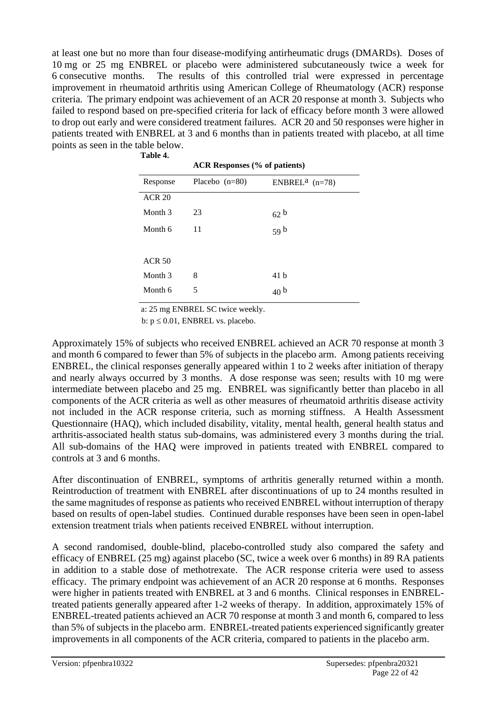at least one but no more than four disease-modifying antirheumatic drugs (DMARDs). Doses of 10 mg or 25 mg ENBREL or placebo were administered subcutaneously twice a week for 6 consecutive months. The results of this controlled trial were expressed in percentage improvement in rheumatoid arthritis using American College of Rheumatology (ACR) response criteria. The primary endpoint was achievement of an ACR 20 response at month 3. Subjects who failed to respond based on pre-specified criteria for lack of efficacy before month 3 were allowed to drop out early and were considered treatment failures. ACR 20 and 50 responses were higher in patients treated with ENBREL at 3 and 6 months than in patients treated with placebo, at all time points as seen in the table below. **Table 4.**

| таріс 4.      |                                      |                              |  |  |
|---------------|--------------------------------------|------------------------------|--|--|
|               | <b>ACR Responses (% of patients)</b> |                              |  |  |
| Response      | Placebo $(n=80)$                     | ENBREL <sup>a</sup> $(n=78)$ |  |  |
| <b>ACR 20</b> |                                      |                              |  |  |
| Month 3       | 23                                   | 62 <sup>b</sup>              |  |  |
| Month 6       | 11                                   | 59 <sup>b</sup>              |  |  |
|               |                                      |                              |  |  |
| <b>ACR 50</b> |                                      |                              |  |  |
| Month 3       | 8                                    | 41 b                         |  |  |
| Month 6       | 5                                    | 40 <sup>b</sup>              |  |  |
|               |                                      |                              |  |  |

a: 25 mg ENBREL SC twice weekly.

b:  $p \le 0.01$ , ENBREL vs. placebo.

Approximately 15% of subjects who received ENBREL achieved an ACR 70 response at month 3 and month 6 compared to fewer than 5% of subjects in the placebo arm. Among patients receiving ENBREL, the clinical responses generally appeared within 1 to 2 weeks after initiation of therapy and nearly always occurred by 3 months. A dose response was seen; results with 10 mg were intermediate between placebo and 25 mg. ENBREL was significantly better than placebo in all components of the ACR criteria as well as other measures of rheumatoid arthritis disease activity not included in the ACR response criteria, such as morning stiffness. A Health Assessment Questionnaire (HAQ), which included disability, vitality, mental health, general health status and arthritis-associated health status sub-domains, was administered every 3 months during the trial. All sub-domains of the HAQ were improved in patients treated with ENBREL compared to controls at 3 and 6 months.

After discontinuation of ENBREL, symptoms of arthritis generally returned within a month. Reintroduction of treatment with ENBREL after discontinuations of up to 24 months resulted in the same magnitudes of response as patients who received ENBREL without interruption of therapy based on results of open-label studies. Continued durable responses have been seen in open-label extension treatment trials when patients received ENBREL without interruption.

A second randomised, double-blind, placebo-controlled study also compared the safety and efficacy of ENBREL (25 mg) against placebo (SC, twice a week over 6 months) in 89 RA patients in addition to a stable dose of methotrexate. The ACR response criteria were used to assess efficacy. The primary endpoint was achievement of an ACR 20 response at 6 months. Responses were higher in patients treated with ENBREL at 3 and 6 months. Clinical responses in ENBRELtreated patients generally appeared after 1-2 weeks of therapy. In addition, approximately 15% of ENBREL-treated patients achieved an ACR 70 response at month 3 and month 6, compared to less than 5% of subjects in the placebo arm. ENBREL-treated patients experienced significantly greater improvements in all components of the ACR criteria, compared to patients in the placebo arm.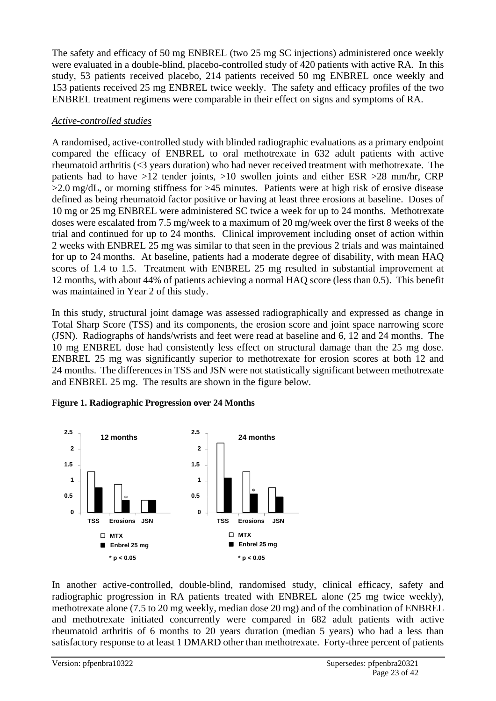The safety and efficacy of 50 mg ENBREL (two 25 mg SC injections) administered once weekly were evaluated in a double-blind, placebo-controlled study of 420 patients with active RA. In this study, 53 patients received placebo, 214 patients received 50 mg ENBREL once weekly and 153 patients received 25 mg ENBREL twice weekly. The safety and efficacy profiles of the two ENBREL treatment regimens were comparable in their effect on signs and symptoms of RA.

#### *Active-controlled studies*

A randomised, active-controlled study with blinded radiographic evaluations as a primary endpoint compared the efficacy of ENBREL to oral methotrexate in 632 adult patients with active rheumatoid arthritis (<3 years duration) who had never received treatment with methotrexate. The patients had to have >12 tender joints, >10 swollen joints and either ESR >28 mm/hr, CRP >2.0 mg/dL, or morning stiffness for >45 minutes. Patients were at high risk of erosive disease defined as being rheumatoid factor positive or having at least three erosions at baseline. Doses of 10 mg or 25 mg ENBREL were administered SC twice a week for up to 24 months. Methotrexate doses were escalated from 7.5 mg/week to a maximum of 20 mg/week over the first 8 weeks of the trial and continued for up to 24 months. Clinical improvement including onset of action within 2 weeks with ENBREL 25 mg was similar to that seen in the previous 2 trials and was maintained for up to 24 months. At baseline, patients had a moderate degree of disability, with mean HAQ scores of 1.4 to 1.5. Treatment with ENBREL 25 mg resulted in substantial improvement at 12 months, with about 44% of patients achieving a normal HAQ score (less than 0.5). This benefit was maintained in Year 2 of this study.

In this study, structural joint damage was assessed radiographically and expressed as change in Total Sharp Score (TSS) and its components, the erosion score and joint space narrowing score (JSN). Radiographs of hands/wrists and feet were read at baseline and 6, 12 and 24 months. The 10 mg ENBREL dose had consistently less effect on structural damage than the 25 mg dose. ENBREL 25 mg was significantly superior to methotrexate for erosion scores at both 12 and 24 months. The differences in TSS and JSN were not statistically significant between methotrexate and ENBREL 25 mg. The results are shown in the figure below.

#### **Figure 1. Radiographic Progression over 24 Months**



In another active-controlled, double-blind, randomised study, clinical efficacy, safety and radiographic progression in RA patients treated with ENBREL alone (25 mg twice weekly), methotrexate alone (7.5 to 20 mg weekly, median dose 20 mg) and of the combination of ENBREL and methotrexate initiated concurrently were compared in 682 adult patients with active rheumatoid arthritis of 6 months to 20 years duration (median 5 years) who had a less than satisfactory response to at least 1 DMARD other than methotrexate. Forty-three percent of patients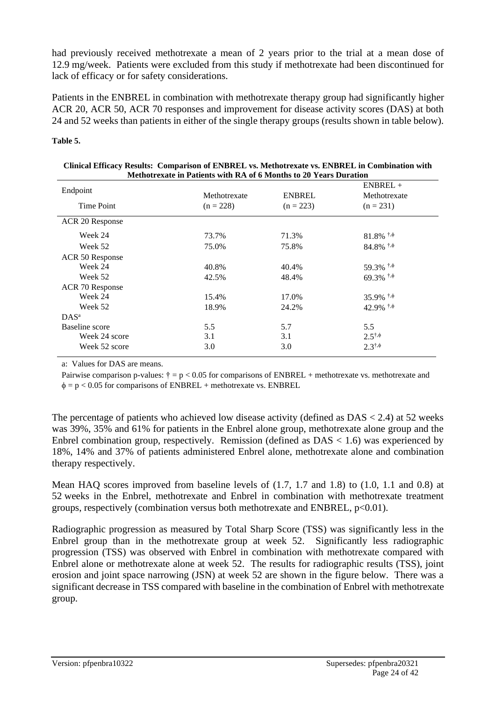had previously received methotrexate a mean of 2 years prior to the trial at a mean dose of 12.9 mg/week. Patients were excluded from this study if methotrexate had been discontinued for lack of efficacy or for safety considerations.

Patients in the ENBREL in combination with methotrexate therapy group had significantly higher ACR 20, ACR 50, ACR 70 responses and improvement for disease activity scores (DAS) at both 24 and 52 weeks than patients in either of the single therapy groups (results shown in table below).

#### **Table 5.**

| Methotrexate in Patients with RA of 6 Months to 20 Years Duration |              |               |                                         |
|-------------------------------------------------------------------|--------------|---------------|-----------------------------------------|
| Endpoint                                                          | Methotrexate | <b>ENBREL</b> | $ENBREL +$<br>Methotrexate              |
| Time Point                                                        | $(n = 228)$  | $(n = 223)$   | $(n = 231)$                             |
| ACR 20 Response                                                   |              |               |                                         |
| Week 24                                                           | 73.7%        | 71.3%         | $81.8\%$ <sup>†,<math>\phi</math></sup> |
| Week 52                                                           | 75.0%        | 75.8%         | $84.8\%$ <sup>†,<math>\phi</math></sup> |
| ACR 50 Response                                                   |              |               |                                         |
| Week 24                                                           | 40.8%        | 40.4%         | 59.3% $\frac{1}{9}$                     |
| Week 52                                                           | 42.5%        | 48.4%         | $69.3\%$ <sup>†,<math>\phi</math></sup> |
| ACR 70 Response                                                   |              |               |                                         |
| Week 24                                                           | 15.4%        | 17.0%         | 35.9% $\frac{1}{9}$                     |
| Week 52                                                           | 18.9%        | 24.2%         | 42.9% $^{\dagger,\phi}$                 |
| $DAS^a$                                                           |              |               |                                         |
| Baseline score                                                    | 5.5          | 5.7           | 5.5                                     |
| Week 24 score                                                     | 3.1          | 3.1           | $2.5^{\dagger,\phi}$                    |
| Week 52 score                                                     | 3.0          | 3.0           | $2.3^{\dagger,\phi}$                    |

|                                                                   | Clinical Efficacy Results: Comparison of ENBREL vs. Methotrexate vs. ENBREL in Combination with |
|-------------------------------------------------------------------|-------------------------------------------------------------------------------------------------|
| Methotrexate in Patients with RA of 6 Months to 20 Years Duration |                                                                                                 |

a: Values for DAS are means.

Pairwise comparison p-values:  $\dagger = p < 0.05$  for comparisons of ENBREL + methotrexate vs. methotrexate and  $\phi = p < 0.05$  for comparisons of ENBREL + methotrexate vs. ENBREL

The percentage of patients who achieved low disease activity (defined as  $DAS < 2.4$ ) at 52 weeks was 39%, 35% and 61% for patients in the Enbrel alone group, methotrexate alone group and the Enbrel combination group, respectively. Remission (defined as  $DAS < 1.6$ ) was experienced by 18%, 14% and 37% of patients administered Enbrel alone, methotrexate alone and combination therapy respectively.

Mean HAQ scores improved from baseline levels of (1.7, 1.7 and 1.8) to (1.0, 1.1 and 0.8) at 52 weeks in the Enbrel, methotrexate and Enbrel in combination with methotrexate treatment groups, respectively (combination versus both methotrexate and ENBREL,  $p<0.01$ ).

Radiographic progression as measured by Total Sharp Score (TSS) was significantly less in the Enbrel group than in the methotrexate group at week 52. Significantly less radiographic progression (TSS) was observed with Enbrel in combination with methotrexate compared with Enbrel alone or methotrexate alone at week 52. The results for radiographic results (TSS), joint erosion and joint space narrowing (JSN) at week 52 are shown in the figure below. There was a significant decrease in TSS compared with baseline in the combination of Enbrel with methotrexate group.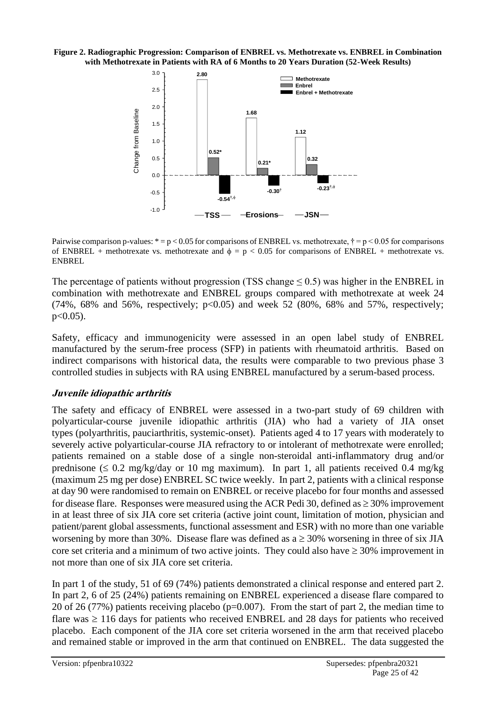**Figure 2. Radiographic Progression: Comparison of ENBREL vs. Methotrexate vs. ENBREL in Combination with Methotrexate in Patients with RA of 6 Months to 20 Years Duration (52-Week Results)**



Pairwise comparison p-values:  $* = p < 0.05$  for comparisons of ENBREL vs. methotrexate,  $\dagger = p < 0.05$  for comparisons of ENBREL + methotrexate vs. methotrexate and  $\phi = p < 0.05$  for comparisons of ENBREL + methotrexate vs. ENBREL

The percentage of patients without progression (TSS change  $\leq$  0.5) was higher in the ENBREL in combination with methotrexate and ENBREL groups compared with methotrexate at week 24  $(74\%, 68\%$  and 56%, respectively;  $p<0.05$ ) and week 52 (80%, 68% and 57%, respectively;  $p < 0.05$ ).

Safety, efficacy and immunogenicity were assessed in an open label study of ENBREL manufactured by the serum-free process (SFP) in patients with rheumatoid arthritis. Based on indirect comparisons with historical data, the results were comparable to two previous phase 3 controlled studies in subjects with RA using ENBREL manufactured by a serum-based process.

## **Juvenile idiopathic arthritis**

The safety and efficacy of ENBREL were assessed in a two-part study of 69 children with polyarticular-course juvenile idiopathic arthritis (JIA) who had a variety of JIA onset types (polyarthritis, pauciarthritis, systemic-onset). Patients aged 4 to 17 years with moderately to severely active polyarticular-course JIA refractory to or intolerant of methotrexate were enrolled; patients remained on a stable dose of a single non-steroidal anti-inflammatory drug and/or prednisone ( $\leq 0.2$  mg/kg/day or 10 mg maximum). In part 1, all patients received 0.4 mg/kg (maximum 25 mg per dose) ENBREL SC twice weekly. In part 2, patients with a clinical response at day 90 were randomised to remain on ENBREL or receive placebo for four months and assessed for disease flare. Responses were measured using the ACR Pedi 30, defined as  $\geq$  30% improvement in at least three of six JIA core set criteria (active joint count, limitation of motion, physician and patient/parent global assessments, functional assessment and ESR) with no more than one variable worsening by more than 30%. Disease flare was defined as  $a \ge 30\%$  worsening in three of six JIA core set criteria and a minimum of two active joints. They could also have  $\geq 30\%$  improvement in not more than one of six JIA core set criteria.

In part 1 of the study, 51 of 69 (74%) patients demonstrated a clinical response and entered part 2. In part 2, 6 of 25 (24%) patients remaining on ENBREL experienced a disease flare compared to 20 of 26 (77%) patients receiving placebo (p=0.007). From the start of part 2, the median time to flare was  $\geq 116$  days for patients who received ENBREL and 28 days for patients who received placebo. Each component of the JIA core set criteria worsened in the arm that received placebo and remained stable or improved in the arm that continued on ENBREL. The data suggested the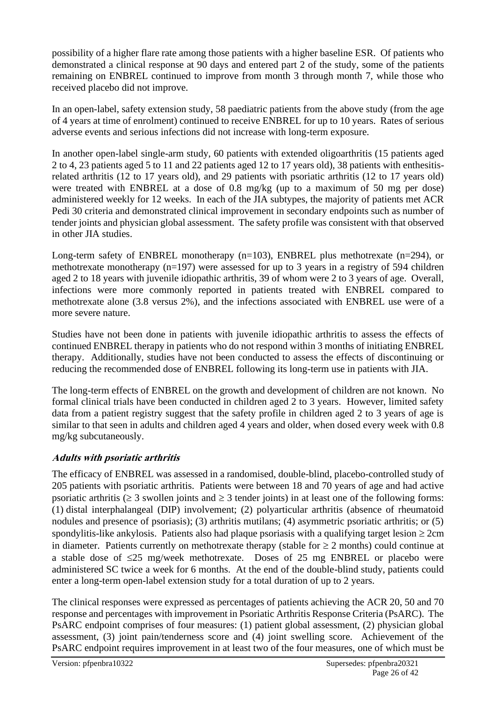possibility of a higher flare rate among those patients with a higher baseline ESR. Of patients who demonstrated a clinical response at 90 days and entered part 2 of the study, some of the patients remaining on ENBREL continued to improve from month 3 through month 7, while those who received placebo did not improve.

In an open-label, safety extension study, 58 paediatric patients from the above study (from the age of 4 years at time of enrolment) continued to receive ENBREL for up to 10 years. Rates of serious adverse events and serious infections did not increase with long-term exposure.

In another open-label single-arm study, 60 patients with extended oligoarthritis (15 patients aged 2 to 4, 23 patients aged 5 to 11 and 22 patients aged 12 to 17 years old), 38 patients with enthesitisrelated arthritis (12 to 17 years old), and 29 patients with psoriatic arthritis (12 to 17 years old) were treated with ENBREL at a dose of 0.8 mg/kg (up to a maximum of 50 mg per dose) administered weekly for 12 weeks. In each of the JIA subtypes, the majority of patients met ACR Pedi 30 criteria and demonstrated clinical improvement in secondary endpoints such as number of tender joints and physician global assessment. The safety profile was consistent with that observed in other JIA studies.

Long-term safety of ENBREL monotherapy (n=103), ENBREL plus methotrexate (n=294), or methotrexate monotherapy (n=197) were assessed for up to 3 years in a registry of 594 children aged 2 to 18 years with juvenile idiopathic arthritis, 39 of whom were 2 to 3 years of age. Overall, infections were more commonly reported in patients treated with ENBREL compared to methotrexate alone (3.8 versus 2%), and the infections associated with ENBREL use were of a more severe nature.

Studies have not been done in patients with juvenile idiopathic arthritis to assess the effects of continued ENBREL therapy in patients who do not respond within 3 months of initiating ENBREL therapy. Additionally, studies have not been conducted to assess the effects of discontinuing or reducing the recommended dose of ENBREL following its long-term use in patients with JIA.

The long-term effects of ENBREL on the growth and development of children are not known. No formal clinical trials have been conducted in children aged 2 to 3 years. However, limited safety data from a patient registry suggest that the safety profile in children aged 2 to 3 years of age is similar to that seen in adults and children aged 4 years and older, when dosed every week with 0.8 mg/kg subcutaneously.

## **Adults with psoriatic arthritis**

The efficacy of ENBREL was assessed in a randomised, double-blind, placebo-controlled study of 205 patients with psoriatic arthritis. Patients were between 18 and 70 years of age and had active psoriatic arthritis ( $\geq 3$  swollen joints and  $\geq 3$  tender joints) in at least one of the following forms: (1) distal interphalangeal (DIP) involvement; (2) polyarticular arthritis (absence of rheumatoid nodules and presence of psoriasis); (3) arthritis mutilans; (4) asymmetric psoriatic arthritis; or (5) spondylitis-like ankylosis. Patients also had plaque psoriasis with a qualifying target lesion  $\geq 2$ cm in diameter. Patients currently on methotrexate therapy (stable for  $\geq 2$  months) could continue at a stable dose of  $\leq$ 25 mg/week methotrexate. Doses of 25 mg ENBREL or placebo were administered SC twice a week for 6 months. At the end of the double-blind study, patients could enter a long-term open-label extension study for a total duration of up to 2 years.

The clinical responses were expressed as percentages of patients achieving the ACR 20, 50 and 70 response and percentages with improvement in Psoriatic Arthritis Response Criteria (PsARC). The PsARC endpoint comprises of four measures: (1) patient global assessment, (2) physician global assessment, (3) joint pain/tenderness score and (4) joint swelling score. Achievement of the PsARC endpoint requires improvement in at least two of the four measures, one of which must be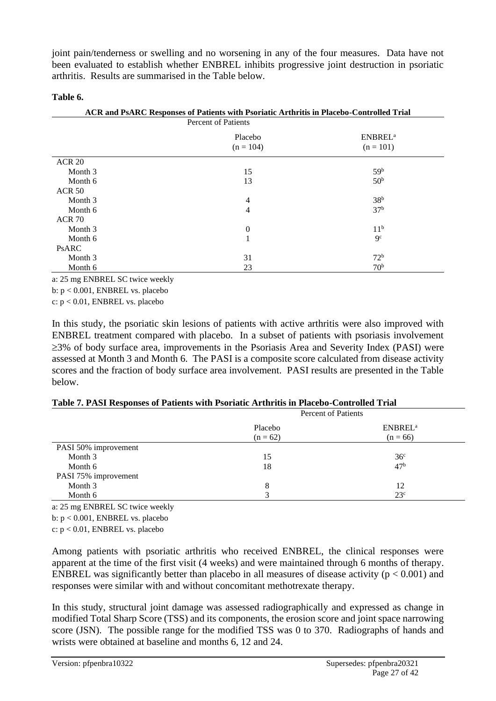joint pain/tenderness or swelling and no worsening in any of the four measures. Data have not been evaluated to establish whether ENBREL inhibits progressive joint destruction in psoriatic arthritis. Results are summarised in the Table below.

#### **Table 6.**

| ACR and PsARC Responses of Patients with Psoriatic Arthritis in Placebo-Controlled Trial |                        |                                           |  |
|------------------------------------------------------------------------------------------|------------------------|-------------------------------------------|--|
| <b>Percent of Patients</b>                                                               |                        |                                           |  |
|                                                                                          | Placebo<br>$(n = 104)$ | <b>ENBREL</b> <sup>a</sup><br>$(n = 101)$ |  |
| <b>ACR 20</b>                                                                            |                        |                                           |  |
| Month 3                                                                                  | 15                     | 59 <sup>b</sup>                           |  |
| Month 6                                                                                  | 13                     | 50 <sup>b</sup>                           |  |
| <b>ACR 50</b>                                                                            |                        |                                           |  |
| Month 3                                                                                  | $\overline{4}$         | 38 <sup>b</sup>                           |  |
| Month 6                                                                                  | $\overline{4}$         | 37 <sup>b</sup>                           |  |
| <b>ACR 70</b>                                                                            |                        |                                           |  |
| Month 3                                                                                  | $\theta$               | 11 <sup>b</sup>                           |  |
| Month 6                                                                                  | 1                      | $\mathbf{Q}^{\mathbf{c}}$                 |  |
| <b>PSARC</b>                                                                             |                        |                                           |  |
| Month 3                                                                                  | 31                     | 72 <sup>b</sup>                           |  |
| Month 6                                                                                  | 23                     | 70 <sup>b</sup>                           |  |

a: 25 mg ENBREL SC twice weekly

b: p < 0.001, ENBREL vs. placebo

c: p < 0.01, ENBREL vs. placebo

In this study, the psoriatic skin lesions of patients with active arthritis were also improved with ENBREL treatment compared with placebo. In a subset of patients with psoriasis involvement  $\geq$ 3% of body surface area, improvements in the Psoriasis Area and Severity Index (PASI) were assessed at Month 3 and Month 6. The PASI is a composite score calculated from disease activity scores and the fraction of body surface area involvement. PASI results are presented in the Table below.

|                      |            | <b>Percent of Patients</b> |
|----------------------|------------|----------------------------|
|                      | Placebo    | <b>ENBREL</b> <sup>a</sup> |
|                      | $(n = 62)$ | $(n = 66)$                 |
| PASI 50% improvement |            |                            |
| Month 3              | 15         | 36 <sup>c</sup>            |
| Month 6              | 18         | 47 <sup>b</sup>            |
| PASI 75% improvement |            |                            |
| Month 3              | 8          | 12                         |
| Month 6              |            | 23 <sup>c</sup>            |

a: 25 mg ENBREL SC twice weekly

b: p < 0.001, ENBREL vs. placebo

c: p < 0.01, ENBREL vs. placebo

Among patients with psoriatic arthritis who received ENBREL, the clinical responses were apparent at the time of the first visit (4 weeks) and were maintained through 6 months of therapy. ENBREL was significantly better than placebo in all measures of disease activity ( $p < 0.001$ ) and responses were similar with and without concomitant methotrexate therapy.

In this study, structural joint damage was assessed radiographically and expressed as change in modified Total Sharp Score (TSS) and its components, the erosion score and joint space narrowing score (JSN). The possible range for the modified TSS was 0 to 370. Radiographs of hands and wrists were obtained at baseline and months 6, 12 and 24.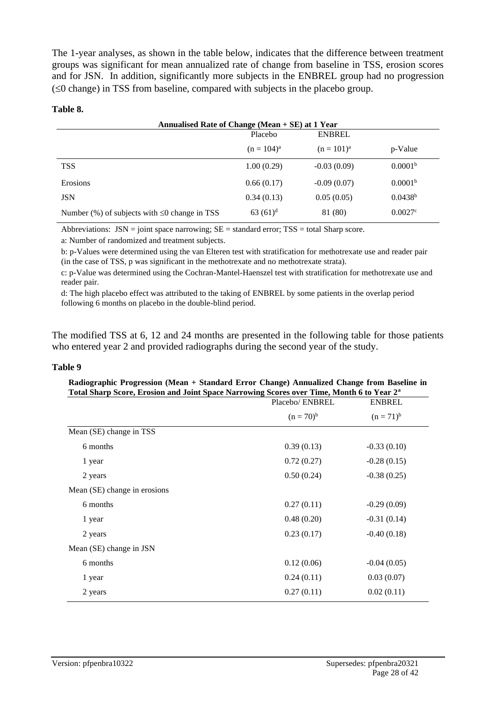The 1-year analyses, as shown in the table below, indicates that the difference between treatment groups was significant for mean annualized rate of change from baseline in TSS, erosion scores and for JSN. In addition, significantly more subjects in the ENBREL group had no progression  $(\leq 0$  change) in TSS from baseline, compared with subjects in the placebo group.

#### **Table 8.**

| Annualised Rate of Change (Mean $+$ SE) at 1 Year  |               |                 |                     |
|----------------------------------------------------|---------------|-----------------|---------------------|
|                                                    | Placebo       | <b>ENBREL</b>   |                     |
|                                                    | $(n = 104)^a$ | $(n = 101)^{a}$ | p-Value             |
| <b>TSS</b>                                         | 1.00(0.29)    | $-0.03(0.09)$   | 0.0001 <sup>b</sup> |
| Erosions                                           | 0.66(0.17)    | $-0.09(0.07)$   | 0.0001 <sup>b</sup> |
| <b>JSN</b>                                         | 0.34(0.13)    | 0.05(0.05)      | $0.0438^{b}$        |
| Number $%$ of subjects with $\leq 0$ change in TSS | $63(61)^d$    | 81 (80)         | $0.0027$ °          |

Abbreviations:  $JSN = joint space$  narrowing;  $SE = standard$  error;  $TSS = total$  Sharp score.

a: Number of randomized and treatment subjects.

b: p-Values were determined using the van Elteren test with stratification for methotrexate use and reader pair (in the case of TSS, p was significant in the methotrexate and no methotrexate strata).

c: p-Value was determined using the Cochran-Mantel-Haenszel test with stratification for methotrexate use and reader pair.

d: The high placebo effect was attributed to the taking of ENBREL by some patients in the overlap period following 6 months on placebo in the double-blind period.

The modified TSS at 6, 12 and 24 months are presented in the following table for those patients who entered year 2 and provided radiographs during the second year of the study.

#### **Table 9**

| Radiographic Progression (Mean + Standard Error Change) Annualized Change from Baseline in<br>Total Sharp Score, Erosion and Joint Space Narrowing Scores over Time, Month 6 to Year 2 <sup>a</sup> |                 |                |
|-----------------------------------------------------------------------------------------------------------------------------------------------------------------------------------------------------|-----------------|----------------|
|                                                                                                                                                                                                     | Placebo/ ENBREL | <b>ENBREL</b>  |
|                                                                                                                                                                                                     | $(n = 70)^{b}$  | $(n = 71)^{b}$ |
| Mean (SE) change in TSS                                                                                                                                                                             |                 |                |
| 6 months                                                                                                                                                                                            | 0.39(0.13)      | $-0.33(0.10)$  |
| 1 year                                                                                                                                                                                              | 0.72(0.27)      | $-0.28(0.15)$  |
| 2 years                                                                                                                                                                                             | 0.50(0.24)      | $-0.38(0.25)$  |
| Mean (SE) change in erosions                                                                                                                                                                        |                 |                |
| 6 months                                                                                                                                                                                            | 0.27(0.11)      | $-0.29(0.09)$  |
| 1 year                                                                                                                                                                                              | 0.48(0.20)      | $-0.31(0.14)$  |
| 2 years                                                                                                                                                                                             | 0.23(0.17)      | $-0.40(0.18)$  |
| Mean (SE) change in JSN                                                                                                                                                                             |                 |                |
| 6 months                                                                                                                                                                                            | 0.12(0.06)      | $-0.04(0.05)$  |
| 1 year                                                                                                                                                                                              | 0.24(0.11)      | 0.03(0.07)     |
| 2 years                                                                                                                                                                                             | 0.27(0.11)      | 0.02(0.11)     |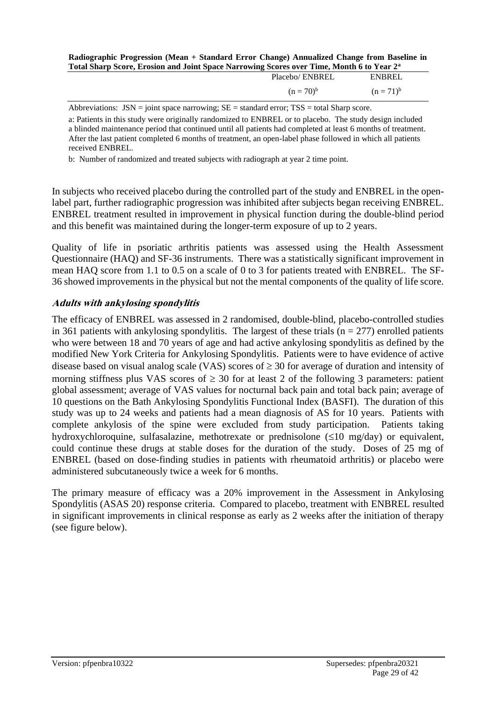#### **Radiographic Progression (Mean + Standard Error Change) Annualized Change from Baseline in Total Sharp Score, Erosion and Joint Space Narrowing Scores over Time, Month 6 to Year 2<sup>a</sup>**

| Placebo/ ENBREL | ENBREL         |
|-----------------|----------------|
| $(n = 70)^{b}$  | $(n = 71)^{6}$ |
|                 |                |

Abbreviations:  $JSN = joint space$  narrowing;  $SE = standard error$ ;  $TSS = total Sharp$  score.

a: Patients in this study were originally randomized to ENBREL or to placebo. The study design included a blinded maintenance period that continued until all patients had completed at least 6 months of treatment. After the last patient completed 6 months of treatment, an open-label phase followed in which all patients received ENBREL.

b: Number of randomized and treated subjects with radiograph at year 2 time point.

In subjects who received placebo during the controlled part of the study and ENBREL in the openlabel part, further radiographic progression was inhibited after subjects began receiving ENBREL. ENBREL treatment resulted in improvement in physical function during the double-blind period and this benefit was maintained during the longer-term exposure of up to 2 years.

Quality of life in psoriatic arthritis patients was assessed using the Health Assessment Questionnaire (HAQ) and SF-36 instruments. There was a statistically significant improvement in mean HAQ score from 1.1 to 0.5 on a scale of 0 to 3 for patients treated with ENBREL. The SF-36 showed improvements in the physical but not the mental components of the quality of life score.

## **Adults with ankylosing spondylitis**

The efficacy of ENBREL was assessed in 2 randomised, double-blind, placebo-controlled studies in 361 patients with ankylosing spondylitis. The largest of these trials  $(n = 277)$  enrolled patients who were between 18 and 70 years of age and had active ankylosing spondylitis as defined by the modified New York Criteria for Ankylosing Spondylitis. Patients were to have evidence of active disease based on visual analog scale (VAS) scores of  $\geq$  30 for average of duration and intensity of morning stiffness plus VAS scores of  $\geq$  30 for at least 2 of the following 3 parameters: patient global assessment; average of VAS values for nocturnal back pain and total back pain; average of 10 questions on the Bath Ankylosing Spondylitis Functional Index (BASFI). The duration of this study was up to 24 weeks and patients had a mean diagnosis of AS for 10 years. Patients with complete ankylosis of the spine were excluded from study participation. Patients taking hydroxychloroquine, sulfasalazine, methotrexate or prednisolone  $(\leq 10 \text{ mg/day})$  or equivalent, could continue these drugs at stable doses for the duration of the study. Doses of 25 mg of ENBREL (based on dose-finding studies in patients with rheumatoid arthritis) or placebo were administered subcutaneously twice a week for 6 months.

The primary measure of efficacy was a 20% improvement in the Assessment in Ankylosing Spondylitis (ASAS 20) response criteria. Compared to placebo, treatment with ENBREL resulted in significant improvements in clinical response as early as 2 weeks after the initiation of therapy (see figure below).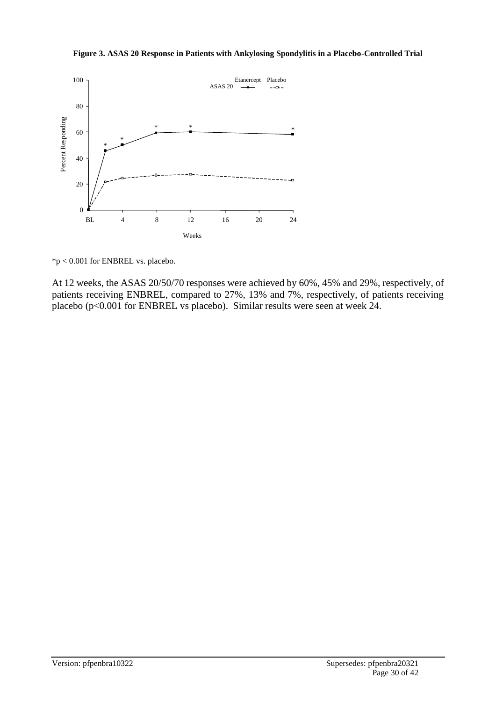**Figure 3. ASAS 20 Response in Patients with Ankylosing Spondylitis in a Placebo-Controlled Trial**



\*p < 0.001 for ENBREL vs. placebo.

At 12 weeks, the ASAS 20/50/70 responses were achieved by 60%, 45% and 29%, respectively, of patients receiving ENBREL, compared to 27%, 13% and 7%, respectively, of patients receiving placebo (p<0.001 for ENBREL vs placebo). Similar results were seen at week 24.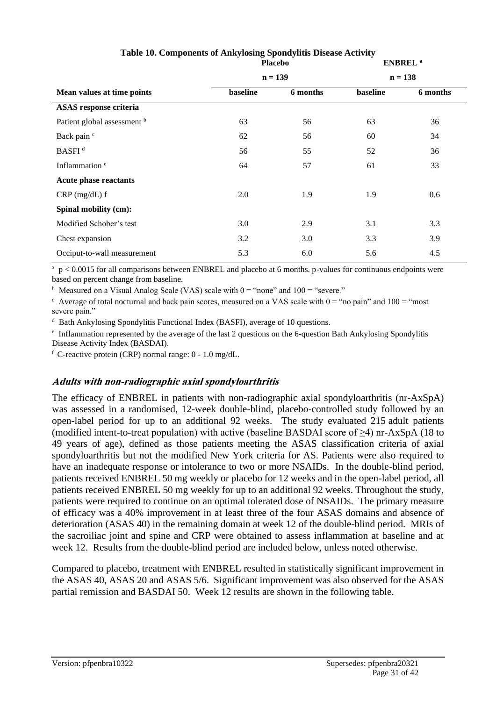|           |          | <b>ENBREL</b> <sup>a</sup> |                |
|-----------|----------|----------------------------|----------------|
| $n = 139$ |          |                            | $n = 138$      |
| baseline  | 6 months | baseline                   | 6 months       |
|           |          |                            |                |
| 63        | 56       | 63                         | 36             |
| 62        | 56       | 60                         | 34             |
| 56        | 55       | 52                         | 36             |
| 64        | 57       | 61                         | 33             |
|           |          |                            |                |
| 2.0       | 1.9      | 1.9                        | 0.6            |
|           |          |                            |                |
| 3.0       | 2.9      | 3.1                        | 3.3            |
| 3.2       | 3.0      | 3.3                        | 3.9            |
| 5.3       | 6.0      | 5.6                        | 4.5            |
|           |          |                            | <b>Placebo</b> |

## **Table 10. Components of Ankylosing Spondylitis Disease Activity**

<sup>a</sup> p < 0.0015 for all comparisons between ENBREL and placebo at 6 months. p-values for continuous endpoints were based on percent change from baseline.

<sup>b</sup> Measured on a Visual Analog Scale (VAS) scale with  $0 =$  "none" and  $100 =$  "severe."

 $\epsilon$  Average of total nocturnal and back pain scores, measured on a VAS scale with  $0 = \text{``no pain''}$  and  $100 = \text{``most}$ severe pain."

d Bath Ankylosing Spondylitis Functional Index (BASFI), average of 10 questions.

e Inflammation represented by the average of the last 2 questions on the 6-question Bath Ankylosing Spondylitis Disease Activity Index (BASDAI).

 $f$  C-reactive protein (CRP) normal range:  $0 - 1.0$  mg/dL.

## **Adults with non-radiographic axial spondyloarthritis**

The efficacy of ENBREL in patients with non-radiographic axial spondyloarthritis (nr-AxSpA) was assessed in a randomised, 12-week double-blind, placebo-controlled study followed by an open-label period for up to an additional 92 weeks. The study evaluated 215 adult patients (modified intent-to-treat population) with active (baseline BASDAI score of ≥4) nr-AxSpA (18 to 49 years of age), defined as those patients meeting the ASAS classification criteria of axial spondyloarthritis but not the modified New York criteria for AS. Patients were also required to have an inadequate response or intolerance to two or more NSAIDs. In the double-blind period, patients received ENBREL 50 mg weekly or placebo for 12 weeks and in the open-label period, all patients received ENBREL 50 mg weekly for up to an additional 92 weeks. Throughout the study, patients were required to continue on an optimal tolerated dose of NSAIDs. The primary measure of efficacy was a 40% improvement in at least three of the four ASAS domains and absence of deterioration (ASAS 40) in the remaining domain at week 12 of the double-blind period. MRIs of the sacroiliac joint and spine and CRP were obtained to assess inflammation at baseline and at week 12. Results from the double-blind period are included below, unless noted otherwise.

Compared to placebo, treatment with ENBREL resulted in statistically significant improvement in the ASAS 40, ASAS 20 and ASAS 5/6. Significant improvement was also observed for the ASAS partial remission and BASDAI 50. Week 12 results are shown in the following table.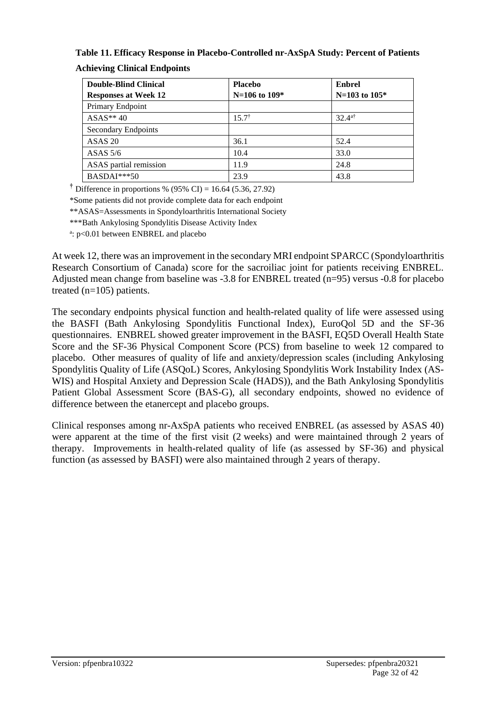# **Table 11. Efficacy Response in Placebo-Controlled nr-AxSpA Study: Percent of Patients**

| <b>Double-Blind Clinical</b> | <b>Placebo</b>    | <b>Enbrel</b>        |
|------------------------------|-------------------|----------------------|
| <b>Responses at Week 12</b>  | $N=106$ to $109*$ | $N=103$ to $105*$    |
| Primary Endpoint             |                   |                      |
| $ASAS**40$                   | $15.7^{\dagger}$  | $32.4$ <sup>a†</sup> |
| Secondary Endpoints          |                   |                      |
| ASAS <sub>20</sub>           | 36.1              | 52.4                 |
| ASAS $5/6$                   | 10.4              | 33.0                 |
| ASAS partial remission       | 11.9              | 24.8                 |
| $BASDAI***50$                | 23.9              | 43.8                 |

**Achieving Clinical Endpoints**

**†** Difference in proportions % (95% CI) = 16.64 (5.36, 27.92)

\*Some patients did not provide complete data for each endpoint

\*\*ASAS=Assessments in Spondyloarthritis International Society

\*\*\*Bath Ankylosing Spondylitis Disease Activity Index

a: p<0.01 between ENBREL and placebo

At week 12, there was an improvement in the secondary MRI endpoint SPARCC (Spondyloarthritis Research Consortium of Canada) score for the sacroiliac joint for patients receiving ENBREL. Adjusted mean change from baseline was -3.8 for ENBREL treated (n=95) versus -0.8 for placebo treated (n=105) patients.

The secondary endpoints physical function and health-related quality of life were assessed using the BASFI (Bath Ankylosing Spondylitis Functional Index), EuroQol 5D and the SF-36 questionnaires. ENBREL showed greater improvement in the BASFI, EQ5D Overall Health State Score and the SF-36 Physical Component Score (PCS) from baseline to week 12 compared to placebo. Other measures of quality of life and anxiety/depression scales (including Ankylosing Spondylitis Quality of Life (ASQoL) Scores, Ankylosing Spondylitis Work Instability Index (AS-WIS) and Hospital Anxiety and Depression Scale (HADS)), and the Bath Ankylosing Spondylitis Patient Global Assessment Score (BAS-G), all secondary endpoints, showed no evidence of difference between the etanercept and placebo groups.

Clinical responses among nr-AxSpA patients who received ENBREL (as assessed by ASAS 40) were apparent at the time of the first visit (2 weeks) and were maintained through 2 years of therapy. Improvements in health-related quality of life (as assessed by SF-36) and physical function (as assessed by BASFI) were also maintained through 2 years of therapy.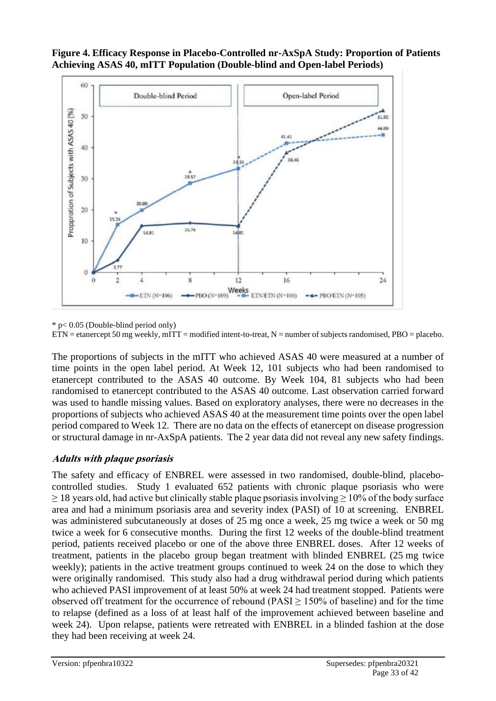

**Figure 4. Efficacy Response in Placebo-Controlled nr-AxSpA Study: Proportion of Patients Achieving ASAS 40, mITT Population (Double-blind and Open-label Periods)** 

\* p< 0.05 (Double-blind period only)

 $ETN = \text{etan}$  etanercept 50 mg weekly, mITT = modified intent-to-treat, N = number of subjects randomised, PBO = placebo.

The proportions of subjects in the mITT who achieved ASAS 40 were measured at a number of time points in the open label period. At Week 12, 101 subjects who had been randomised to etanercept contributed to the ASAS 40 outcome. By Week 104, 81 subjects who had been randomised to etanercept contributed to the ASAS 40 outcome. Last observation carried forward was used to handle missing values. Based on exploratory analyses, there were no decreases in the proportions of subjects who achieved ASAS 40 at the measurement time points over the open label period compared to Week 12. There are no data on the effects of etanercept on disease progression or structural damage in nr-AxSpA patients. The 2 year data did not reveal any new safety findings.

#### **Adults with plaque psoriasis**

The safety and efficacy of ENBREL were assessed in two randomised, double-blind, placebocontrolled studies. Study 1 evaluated 652 patients with chronic plaque psoriasis who were  $\geq$  18 years old, had active but clinically stable plaque psoriasis involving  $\geq$  10% of the body surface area and had a minimum psoriasis area and severity index (PASI) of 10 at screening. ENBREL was administered subcutaneously at doses of 25 mg once a week, 25 mg twice a week or 50 mg twice a week for 6 consecutive months. During the first 12 weeks of the double-blind treatment period, patients received placebo or one of the above three ENBREL doses. After 12 weeks of treatment, patients in the placebo group began treatment with blinded ENBREL (25 mg twice weekly); patients in the active treatment groups continued to week 24 on the dose to which they were originally randomised. This study also had a drug withdrawal period during which patients who achieved PASI improvement of at least 50% at week 24 had treatment stopped. Patients were observed off treatment for the occurrence of rebound ( $PASI \ge 150\%$  of baseline) and for the time to relapse (defined as a loss of at least half of the improvement achieved between baseline and week 24). Upon relapse, patients were retreated with ENBREL in a blinded fashion at the dose they had been receiving at week 24.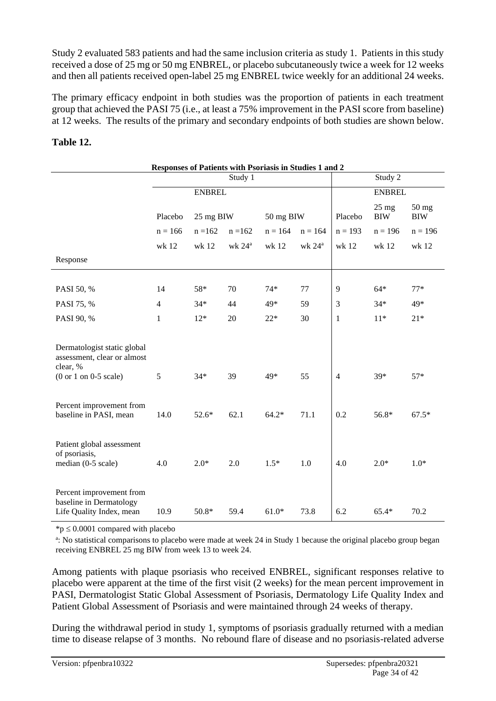Study 2 evaluated 583 patients and had the same inclusion criteria as study 1. Patients in this study received a dose of 25 mg or 50 mg ENBREL, or placebo subcutaneously twice a week for 12 weeks and then all patients received open-label 25 mg ENBREL twice weekly for an additional 24 weeks.

The primary efficacy endpoint in both studies was the proportion of patients in each treatment group that achieved the PASI 75 (i.e., at least a 75% improvement in the PASI score from baseline) at 12 weeks. The results of the primary and secondary endpoints of both studies are shown below.

## **Table 12.**

| Responses of Patients with Psoriasis in Studies 1 and 2                                           |                |           |                 |               |                 |                |                               |                       |
|---------------------------------------------------------------------------------------------------|----------------|-----------|-----------------|---------------|-----------------|----------------|-------------------------------|-----------------------|
|                                                                                                   |                |           | Study 1         |               |                 |                | Study 2                       |                       |
|                                                                                                   | <b>ENBREL</b>  |           |                 | <b>ENBREL</b> |                 |                |                               |                       |
|                                                                                                   | Placebo        | 25 mg BIW |                 | 50 mg BIW     |                 | Placebo        | $25 \text{ mg}$<br><b>BIW</b> | $50$ mg<br><b>BIW</b> |
|                                                                                                   | $n = 166$      | $n = 162$ | $n = 162$       | $n = 164$     | $n = 164$       | $n = 193$      | $n = 196$                     | $n = 196$             |
|                                                                                                   | wk 12          | wk 12     | wk $24^{\circ}$ | wk 12         | wk $24^{\rm a}$ | wk 12          | wk 12                         | wk 12                 |
| Response                                                                                          |                |           |                 |               |                 |                |                               |                       |
|                                                                                                   |                |           |                 |               |                 |                |                               |                       |
| PASI 50, %                                                                                        | 14             | 58*       | 70              | $74*$         | 77              | 9              | $64*$                         | $77*$                 |
| PASI 75, %                                                                                        | $\overline{4}$ | $34*$     | 44              | 49*           | 59              | 3              | $34*$                         | 49*                   |
| PASI 90, %                                                                                        | $\mathbf{1}$   | $12*$     | 20              | $22*$         | 30              | $\mathbf{1}$   | $11*$                         | $21*$                 |
| Dermatologist static global<br>assessment, clear or almost<br>clear, %<br>$(0 or 1 on 0-5 scale)$ | 5              | $34*$     | 39              | 49*           | 55              | $\overline{4}$ | 39*                           | $57*$                 |
| Percent improvement from<br>baseline in PASI, mean                                                | 14.0           | 52.6*     | 62.1            | $64.2*$       | 71.1            | 0.2            | 56.8*                         | $67.5*$               |
| Patient global assessment<br>of psoriasis,<br>median (0-5 scale)                                  | 4.0            | $2.0*$    | 2.0             | $1.5*$        | 1.0             | 4.0            | $2.0*$                        | $1.0*$                |
| Percent improvement from<br>baseline in Dermatology<br>Life Quality Index, mean                   | 10.9           | $50.8*$   | 59.4            | $61.0*$       | 73.8            | 6.2            | $65.4*$                       | 70.2                  |

 ${}^*\mathsf{p} \leq 0.0001$  compared with placebo

a : No statistical comparisons to placebo were made at week 24 in Study 1 because the original placebo group began receiving ENBREL 25 mg BIW from week 13 to week 24.

Among patients with plaque psoriasis who received ENBREL, significant responses relative to placebo were apparent at the time of the first visit (2 weeks) for the mean percent improvement in PASI, Dermatologist Static Global Assessment of Psoriasis, Dermatology Life Quality Index and Patient Global Assessment of Psoriasis and were maintained through 24 weeks of therapy.

During the withdrawal period in study 1, symptoms of psoriasis gradually returned with a median time to disease relapse of 3 months. No rebound flare of disease and no psoriasis-related adverse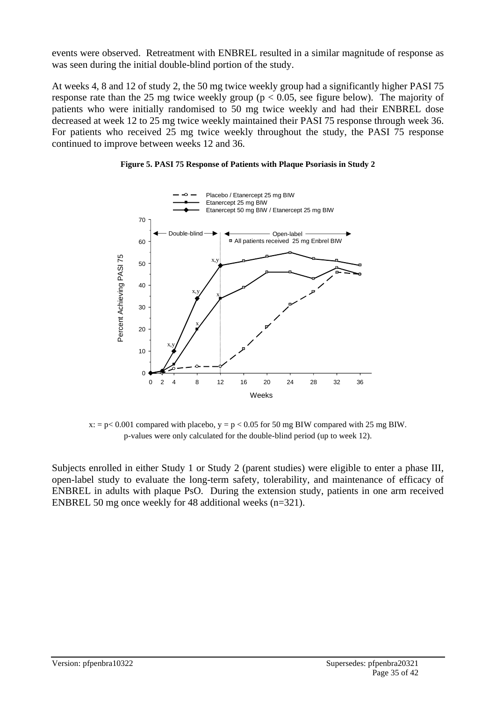events were observed. Retreatment with ENBREL resulted in a similar magnitude of response as was seen during the initial double-blind portion of the study.

At weeks 4, 8 and 12 of study 2, the 50 mg twice weekly group had a significantly higher PASI 75 response rate than the 25 mg twice weekly group ( $p < 0.05$ , see figure below). The majority of patients who were initially randomised to 50 mg twice weekly and had their ENBREL dose decreased at week 12 to 25 mg twice weekly maintained their PASI 75 response through week 36. For patients who received 25 mg twice weekly throughout the study, the PASI 75 response continued to improve between weeks 12 and 36.





 $x: p < 0.001$  compared with placebo,  $y = p < 0.05$  for 50 mg BIW compared with 25 mg BIW. p-values were only calculated for the double-blind period (up to week 12).

Subjects enrolled in either Study 1 or Study 2 (parent studies) were eligible to enter a phase III, open-label study to evaluate the long-term safety, tolerability, and maintenance of efficacy of ENBREL in adults with plaque PsO. During the extension study, patients in one arm received ENBREL 50 mg once weekly for 48 additional weeks (n=321).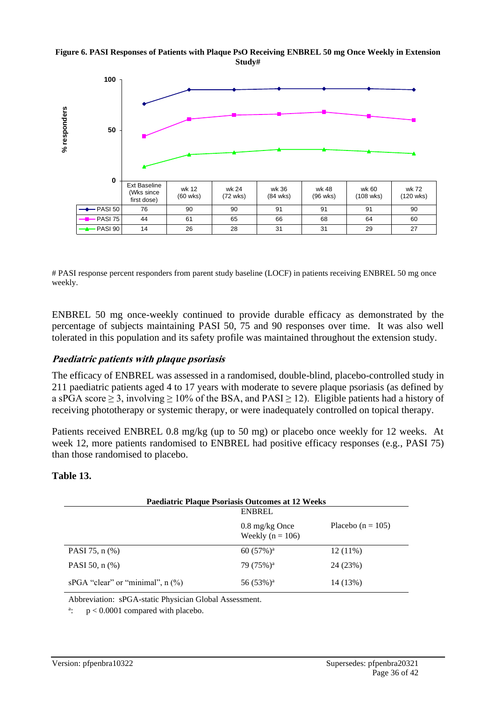#### **Figure 6. PASI Responses of Patients with Plaque PsO Receiving ENBREL 50 mg Once Weekly in Extension Study#**



# PASI response percent responders from parent study baseline (LOCF) in patients receiving ENBREL 50 mg once weekly.

ENBREL 50 mg once-weekly continued to provide durable efficacy as demonstrated by the percentage of subjects maintaining PASI 50, 75 and 90 responses over time. It was also well tolerated in this population and its safety profile was maintained throughout the extension study.

#### **Paediatric patients with plaque psoriasis**

The efficacy of ENBREL was assessed in a randomised, double-blind, placebo-controlled study in 211 paediatric patients aged 4 to 17 years with moderate to severe plaque psoriasis (as defined by a sPGA score  $\geq$  3, involving  $\geq$  10% of the BSA, and PASI  $\geq$  12). Eligible patients had a history of receiving phototherapy or systemic therapy, or were inadequately controlled on topical therapy.

Patients received ENBREL 0.8 mg/kg (up to 50 mg) or placebo once weekly for 12 weeks. At week 12, more patients randomised to ENBREL had positive efficacy responses (e.g., PASI 75) than those randomised to placebo.

#### **Table 13.**

| <b>Paediatric Plaque Psoriasis Outcomes at 12 Weeks</b><br><b>ENBREL</b> |                                                  |                       |  |  |
|--------------------------------------------------------------------------|--------------------------------------------------|-----------------------|--|--|
|                                                                          | $0.8 \text{ mg/kg}$ Once<br>Weekly ( $n = 106$ ) | Placebo ( $n = 105$ ) |  |  |
| PASI 75, n (%)                                                           | 60 $(57\%)^a$                                    | $12(11\%)$            |  |  |
| PASI 50, $n$ $(\%)$                                                      | $79(75%)^a$                                      | 24 (23%)              |  |  |
| sPGA "clear" or "minimal", $n$ (%)                                       | $56(53%)^a$                                      | 14 (13%)              |  |  |

Abbreviation: sPGA-static Physician Global Assessment.

 $\ddot{a}$ .  $p < 0.0001$  compared with placebo.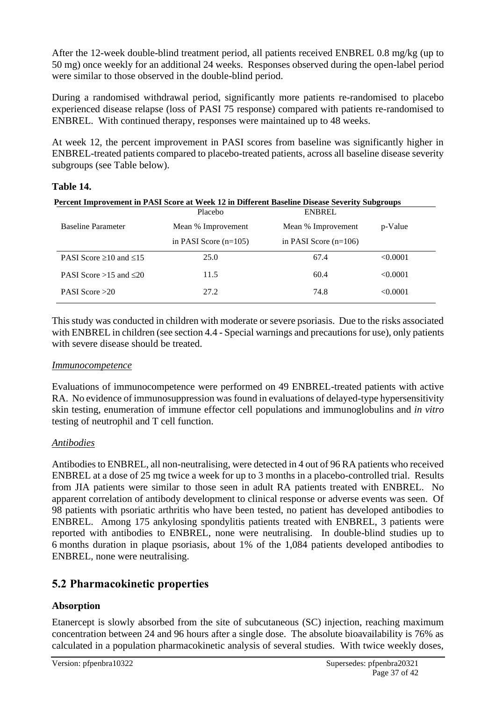After the 12-week double-blind treatment period, all patients received ENBREL 0.8 mg/kg (up to 50 mg) once weekly for an additional 24 weeks. Responses observed during the open-label period were similar to those observed in the double-blind period.

During a randomised withdrawal period, significantly more patients re-randomised to placebo experienced disease relapse (loss of PASI 75 response) compared with patients re-randomised to ENBREL. With continued therapy, responses were maintained up to 48 weeks.

At week 12, the percent improvement in PASI scores from baseline was significantly higher in ENBREL-treated patients compared to placebo-treated patients, across all baseline disease severity subgroups (see Table below).

## **Table 14.**

| Percent Improvement in PASI Score at Week 12 in Different Baseline Disease Severity Subgroups |                         |                         |          |  |
|-----------------------------------------------------------------------------------------------|-------------------------|-------------------------|----------|--|
|                                                                                               | Placebo                 | <b>ENBREL</b>           |          |  |
| <b>Baseline Parameter</b>                                                                     | Mean % Improvement      | Mean % Improvement      | p-Value  |  |
|                                                                                               | in PASI Score $(n=105)$ | in PASI Score $(n=106)$ |          |  |
| PASI Score $\geq 10$ and $\leq 15$                                                            | 25.0                    | 67.4                    | < 0.0001 |  |
| PASI Score $>15$ and $\leq 20$                                                                | 11.5                    | 60.4                    | < 0.0001 |  |
| PASI Score $>20$                                                                              | 27.2                    | 74.8                    | < 0.0001 |  |

This study was conducted in children with moderate or severe psoriasis. Due to the risks associated with ENBREL in children (see section 4.4 - Special warnings and precautions for use), only patients with severe disease should be treated.

#### *Immunocompetence*

Evaluations of immunocompetence were performed on 49 ENBREL-treated patients with active RA. No evidence of immunosuppression was found in evaluations of delayed-type hypersensitivity skin testing, enumeration of immune effector cell populations and immunoglobulins and *in vitro* testing of neutrophil and T cell function.

#### *Antibodies*

Antibodies to ENBREL, all non-neutralising, were detected in 4 out of 96 RA patients who received ENBREL at a dose of 25 mg twice a week for up to 3 months in a placebo-controlled trial. Results from JIA patients were similar to those seen in adult RA patients treated with ENBREL. No apparent correlation of antibody development to clinical response or adverse events was seen. Of 98 patients with psoriatic arthritis who have been tested, no patient has developed antibodies to ENBREL. Among 175 ankylosing spondylitis patients treated with ENBREL, 3 patients were reported with antibodies to ENBREL, none were neutralising. In double-blind studies up to 6 months duration in plaque psoriasis, about 1% of the 1,084 patients developed antibodies to ENBREL, none were neutralising.

# **5.2 Pharmacokinetic properties**

## **Absorption**

Etanercept is slowly absorbed from the site of subcutaneous (SC) injection, reaching maximum concentration between 24 and 96 hours after a single dose. The absolute bioavailability is 76% as calculated in a population pharmacokinetic analysis of several studies. With twice weekly doses,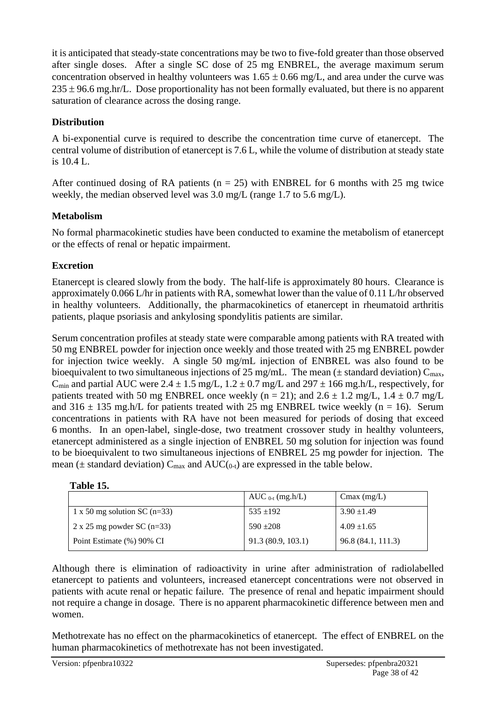it is anticipated that steady-state concentrations may be two to five-fold greater than those observed after single doses. After a single SC dose of 25 mg ENBREL, the average maximum serum concentration observed in healthy volunteers was  $1.65 \pm 0.66$  mg/L, and area under the curve was  $235 \pm 96.6$  mg.hr/L. Dose proportionality has not been formally evaluated, but there is no apparent saturation of clearance across the dosing range.

## **Distribution**

A bi-exponential curve is required to describe the concentration time curve of etanercept. The central volume of distribution of etanercept is 7.6 L, while the volume of distribution at steady state is 10.4 L.

After continued dosing of RA patients ( $n = 25$ ) with ENBREL for 6 months with 25 mg twice weekly, the median observed level was 3.0 mg/L (range 1.7 to 5.6 mg/L).

## **Metabolism**

No formal pharmacokinetic studies have been conducted to examine the metabolism of etanercept or the effects of renal or hepatic impairment.

# **Excretion**

Etanercept is cleared slowly from the body. The half-life is approximately 80 hours. Clearance is approximately 0.066 L/hr in patients with RA, somewhat lower than the value of 0.11 L/hr observed in healthy volunteers. Additionally, the pharmacokinetics of etanercept in rheumatoid arthritis patients, plaque psoriasis and ankylosing spondylitis patients are similar.

Serum concentration profiles at steady state were comparable among patients with RA treated with 50 mg ENBREL powder for injection once weekly and those treated with 25 mg ENBREL powder for injection twice weekly. A single 50 mg/mL injection of ENBREL was also found to be bioequivalent to two simultaneous injections of 25 mg/mL. The mean  $(\pm$  standard deviation)  $C_{\text{max}}$ ,  $C_{\text{min}}$  and partial AUC were 2.4  $\pm$  1.5 mg/L, 1.2  $\pm$  0.7 mg/L and 297  $\pm$  166 mg.h/L, respectively, for patients treated with 50 mg ENBREL once weekly (n = 21); and  $2.6 \pm 1.2$  mg/L,  $1.4 \pm 0.7$  mg/L and  $316 \pm 135$  mg.h/L for patients treated with 25 mg ENBREL twice weekly (n = 16). Serum concentrations in patients with RA have not been measured for periods of dosing that exceed 6 months. In an open-label, single-dose, two treatment crossover study in healthy volunteers, etanercept administered as a single injection of ENBREL 50 mg solution for injection was found to be bioequivalent to two simultaneous injections of ENBREL 25 mg powder for injection. The mean ( $\pm$  standard deviation)  $C_{\text{max}}$  and  $AUC_{(0-t)}$  are expressed in the table below.

| Table 15. |  |
|-----------|--|
|-----------|--|

|                                   | AUC $_{0-t}$ (mg.h/L) | Cmax $(mg/L)$      |
|-----------------------------------|-----------------------|--------------------|
| 1 x 50 mg solution SC (n=33)      | $535 + 192$           | $3.90 \pm 1.49$    |
| $2 \times 25$ mg powder SC (n=33) | $590 + 208$           | $4.09 \pm 1.65$    |
| Point Estimate (%) 90% CI         | 91.3(80.9, 103.1)     | 96.8 (84.1, 111.3) |

Although there is elimination of radioactivity in urine after administration of radiolabelled etanercept to patients and volunteers, increased etanercept concentrations were not observed in patients with acute renal or hepatic failure. The presence of renal and hepatic impairment should not require a change in dosage. There is no apparent pharmacokinetic difference between men and women.

Methotrexate has no effect on the pharmacokinetics of etanercept. The effect of ENBREL on the human pharmacokinetics of methotrexate has not been investigated.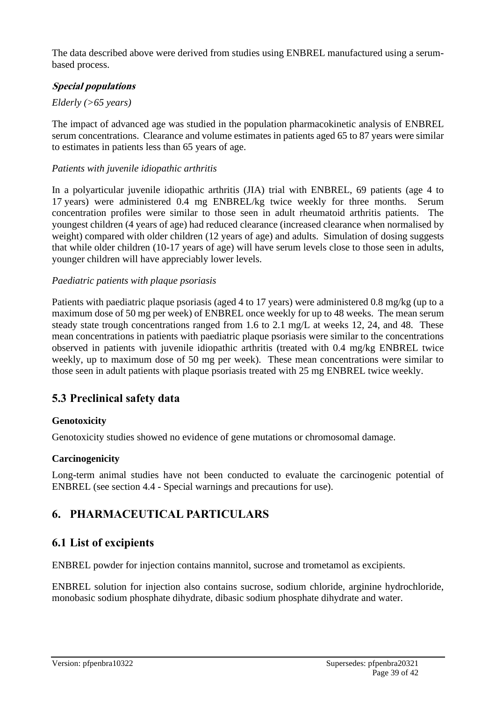The data described above were derived from studies using ENBREL manufactured using a serumbased process.

## **Special populations**

## *Elderly (>65 years)*

The impact of advanced age was studied in the population pharmacokinetic analysis of ENBREL serum concentrations. Clearance and volume estimates in patients aged 65 to 87 years were similar to estimates in patients less than 65 years of age.

## *Patients with juvenile idiopathic arthritis*

In a polyarticular juvenile idiopathic arthritis (JIA) trial with ENBREL, 69 patients (age 4 to 17 years) were administered 0.4 mg ENBREL/kg twice weekly for three months. Serum concentration profiles were similar to those seen in adult rheumatoid arthritis patients. The youngest children (4 years of age) had reduced clearance (increased clearance when normalised by weight) compared with older children (12 years of age) and adults. Simulation of dosing suggests that while older children (10-17 years of age) will have serum levels close to those seen in adults, younger children will have appreciably lower levels.

#### *Paediatric patients with plaque psoriasis*

Patients with paediatric plaque psoriasis (aged 4 to 17 years) were administered 0.8 mg/kg (up to a maximum dose of 50 mg per week) of ENBREL once weekly for up to 48 weeks. The mean serum steady state trough concentrations ranged from 1.6 to 2.1 mg/L at weeks 12, 24, and 48. These mean concentrations in patients with paediatric plaque psoriasis were similar to the concentrations observed in patients with juvenile idiopathic arthritis (treated with 0.4 mg/kg ENBREL twice weekly, up to maximum dose of 50 mg per week). These mean concentrations were similar to those seen in adult patients with plaque psoriasis treated with 25 mg ENBREL twice weekly.

# **5.3 Preclinical safety data**

## **Genotoxicity**

Genotoxicity studies showed no evidence of gene mutations or chromosomal damage.

#### **Carcinogenicity**

Long-term animal studies have not been conducted to evaluate the carcinogenic potential of ENBREL (see section 4.4 - Special warnings and precautions for use).

# **6. PHARMACEUTICAL PARTICULARS**

# **6.1 List of excipients**

ENBREL powder for injection contains mannitol, sucrose and trometamol as excipients.

ENBREL solution for injection also contains sucrose, sodium chloride, arginine hydrochloride, monobasic sodium phosphate dihydrate, dibasic sodium phosphate dihydrate and water.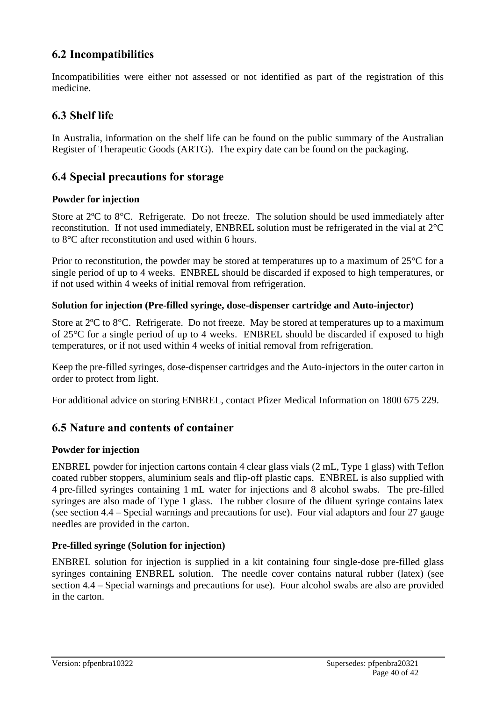# **6.2 Incompatibilities**

Incompatibilities were either not assessed or not identified as part of the registration of this medicine.

# **6.3 Shelf life**

In Australia, information on the shelf life can be found on the public summary of the Australian Register of Therapeutic Goods (ARTG). The expiry date can be found on the packaging.

# **6.4 Special precautions for storage**

## **Powder for injection**

Store at  $2^{\circ}$ C to  $8^{\circ}$ C. Refrigerate. Do not freeze. The solution should be used immediately after reconstitution. If not used immediately, ENBREL solution must be refrigerated in the vial at 2°C to 8°C after reconstitution and used within 6 hours.

Prior to reconstitution, the powder may be stored at temperatures up to a maximum of 25<sup>o</sup>C for a single period of up to 4 weeks. ENBREL should be discarded if exposed to high temperatures, or if not used within 4 weeks of initial removal from refrigeration.

## **Solution for injection (Pre-filled syringe, dose-dispenser cartridge and Auto-injector)**

Store at  $2^{\circ}$ C to  $8^{\circ}$ C. Refrigerate. Do not freeze. May be stored at temperatures up to a maximum of 25°C for a single period of up to 4 weeks. ENBREL should be discarded if exposed to high temperatures, or if not used within 4 weeks of initial removal from refrigeration.

Keep the pre-filled syringes, dose-dispenser cartridges and the Auto-injectors in the outer carton in order to protect from light.

For additional advice on storing ENBREL, contact Pfizer Medical Information on 1800 675 229.

# **6.5 Nature and contents of container**

## **Powder for injection**

ENBREL powder for injection cartons contain 4 clear glass vials (2 mL, Type 1 glass) with Teflon coated rubber stoppers, aluminium seals and flip-off plastic caps. ENBREL is also supplied with 4 pre-filled syringes containing 1 mL water for injections and 8 alcohol swabs. The pre-filled syringes are also made of Type 1 glass. The rubber closure of the diluent syringe contains latex (see section 4.4 – Special warnings and precautions for use). Four vial adaptors and four 27 gauge needles are provided in the carton.

## **Pre-filled syringe (Solution for injection)**

ENBREL solution for injection is supplied in a kit containing four single-dose pre-filled glass syringes containing ENBREL solution. The needle cover contains natural rubber (latex) (see section 4.4 – Special warnings and precautions for use). Four alcohol swabs are also are provided in the carton.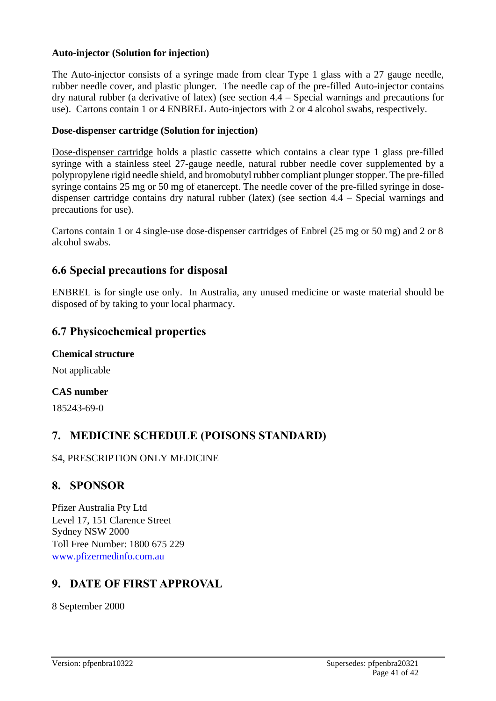## **Auto-injector (Solution for injection)**

The Auto-injector consists of a syringe made from clear Type 1 glass with a 27 gauge needle, rubber needle cover, and plastic plunger. The needle cap of the pre-filled Auto-injector contains dry natural rubber (a derivative of latex) (see section 4.4 – Special warnings and precautions for use). Cartons contain 1 or 4 ENBREL Auto-injectors with 2 or 4 alcohol swabs, respectively.

#### **Dose-dispenser cartridge (Solution for injection)**

Dose-dispenser cartridge holds a plastic cassette which contains a clear type 1 glass pre-filled syringe with a stainless steel 27-gauge needle, natural rubber needle cover supplemented by a polypropylene rigid needle shield, and bromobutyl rubber compliant plunger stopper. The pre-filled syringe contains 25 mg or 50 mg of etanercept. The needle cover of the pre-filled syringe in dosedispenser cartridge contains dry natural rubber (latex) (see section 4.4 – Special warnings and precautions for use).

Cartons contain 1 or 4 single-use dose-dispenser cartridges of Enbrel (25 mg or 50 mg) and 2 or 8 alcohol swabs.

# **6.6 Special precautions for disposal**

ENBREL is for single use only. In Australia, any unused medicine or waste material should be disposed of by taking to your local pharmacy.

## **6.7 Physicochemical properties**

#### **Chemical structure**

Not applicable

#### **CAS number**

185243-69-0

# **7. MEDICINE SCHEDULE (POISONS STANDARD)**

#### S4, PRESCRIPTION ONLY MEDICINE

# **8. SPONSOR**

Pfizer Australia Pty Ltd Level 17, 151 Clarence Street Sydney NSW 2000 Toll Free Number: 1800 675 229 [www.pfizermedinfo.com.au](http://www.pfizermedinfo.com.au/)

# **9. DATE OF FIRST APPROVAL**

8 September 2000